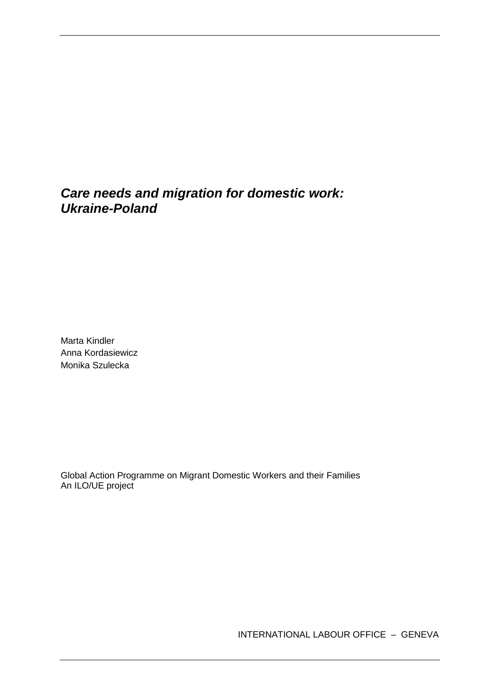## **Care needs and migration for domestic work: Ukraine-Poland**

Marta Kindler Anna Kordasiewicz Monika Szulecka

Global Action Programme on Migrant Domestic Workers and their Families An ILO/UE project

INTERNATIONAL LABOUR OFFICE – GENEVA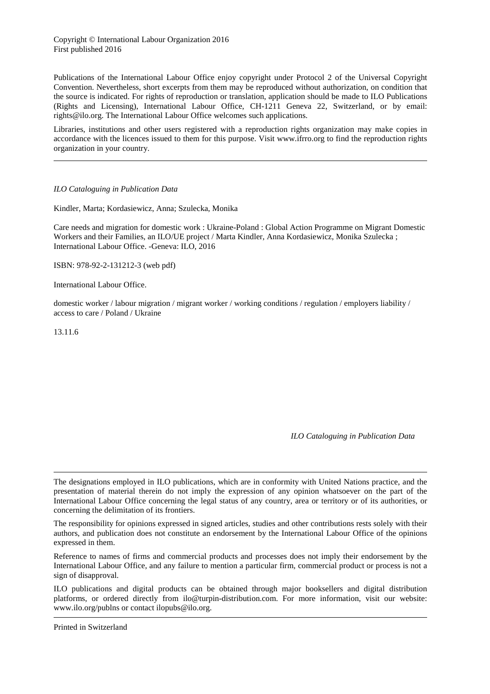Copyright © International Labour Organization 2016 First published 2016

Publications of the International Labour Office enjoy copyright under Protocol 2 of the Universal Copyright Convention. Nevertheless, short excerpts from them may be reproduced without authorization, on condition that the source is indicated. For rights of reproduction or translation, application should be made to ILO Publications (Rights and Licensing), International Labour Office, CH-1211 Geneva 22, Switzerland, or by email: rights@ilo.org. The International Labour Office welcomes such applications.

Libraries, institutions and other users registered with a reproduction rights organization may make copies in accordance with the licences issued to them for this purpose. Visit www.ifrro.org to find the reproduction rights organization in your country.

*ILO Cataloguing in Publication Data*

Kindler, Marta; Kordasiewicz, Anna; Szulecka, Monika

Care needs and migration for domestic work : Ukraine-Poland : Global Action Programme on Migrant Domestic Workers and their Families, an ILO/UE project / Marta Kindler, Anna Kordasiewicz, Monika Szulecka ; International Labour Office. -Geneva: ILO, 2016

ISBN: 978-92-2-131212-3 (web pdf)

International Labour Office.

domestic worker / labour migration / migrant worker / working conditions / regulation / employers liability / access to care / Poland / Ukraine

13.11.6

*ILO Cataloguing in Publication Data* 

The designations employed in ILO publications, which are in conformity with United Nations practice, and the presentation of material therein do not imply the expression of any opinion whatsoever on the part of the International Labour Office concerning the legal status of any country, area or territory or of its authorities, or concerning the delimitation of its frontiers.

The responsibility for opinions expressed in signed articles, studies and other contributions rests solely with their authors, and publication does not constitute an endorsement by the International Labour Office of the opinions expressed in them.

Reference to names of firms and commercial products and processes does not imply their endorsement by the International Labour Office, and any failure to mention a particular firm, commercial product or process is not a sign of disapproval.

ILO publications and digital products can be obtained through major booksellers and digital distribution platforms, or ordered directly from ilo@turpin-distribution.com. For more information, visit our website: www.ilo.org/publns or contact ilopubs@ilo.org.

Printed in Switzerland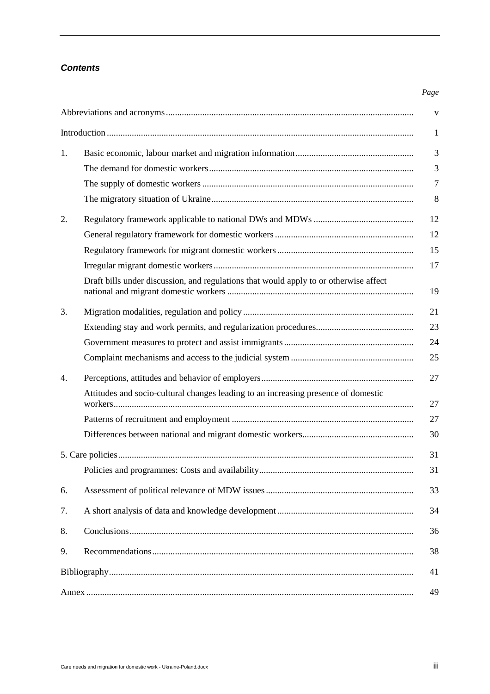#### **Contents**

|          | V                                                                                                                   |
|----------|---------------------------------------------------------------------------------------------------------------------|
|          | 1                                                                                                                   |
| 1.       | 3<br>3<br>7<br>8                                                                                                    |
| 2.       | 12<br>12<br>15<br>17<br>Draft bills under discussion, and regulations that would apply to or otherwise affect<br>19 |
| 3.       | 21<br>23<br>24<br>25                                                                                                |
| 4.       | 27<br>Attitudes and socio-cultural changes leading to an increasing presence of domestic<br>27<br>27<br>30          |
|          | 31                                                                                                                  |
|          | 31                                                                                                                  |
| 6.       | 33                                                                                                                  |
| 7.       | 34                                                                                                                  |
| 8.<br>9. | 36<br>38                                                                                                            |
|          | 41<br>49                                                                                                            |

*Page*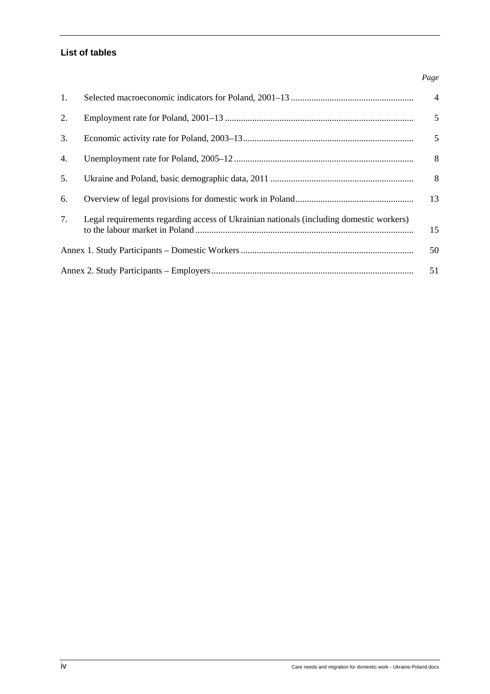#### **List of tables**

# 1. Selected macroeconomic indicators for Poland, 2001–13 ...................................................... 4 2. Employment rate for Poland, 2001–13 ................................................................................... 5 3. Economic activity rate for Poland, 2003–13 ........................................................................... 5 4. Unemployment rate for Poland, 2005–12 ............................................................................... 8 5. Ukraine and Poland, basic demographic data, 2011 ............................................................... 8 6. Overview of legal provisions for domestic work in Poland .................................................... 13 7. Legal requirements regarding access of Ukrainian nationals (including domestic workers) to the labour market in Poland ................................................................................................ 15 Annex 1. Study Participants – Domestic Workers ............................................................................ 50 Annex 2. Study Participants – Employers ......................................................................................... 51

*Page*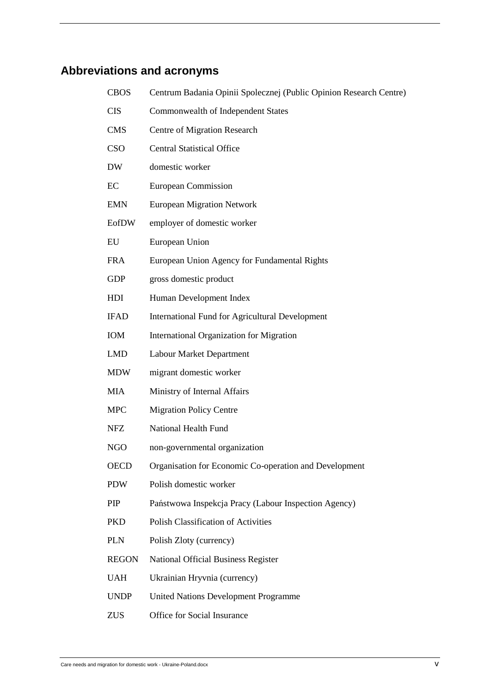# **Abbreviations and acronyms**

| <b>CBOS</b>  | Centrum Badania Opinii Spolecznej (Public Opinion Research Centre) |
|--------------|--------------------------------------------------------------------|
| <b>CIS</b>   | Commonwealth of Independent States                                 |
| <b>CMS</b>   | Centre of Migration Research                                       |
| <b>CSO</b>   | <b>Central Statistical Office</b>                                  |
| <b>DW</b>    | domestic worker                                                    |
| EC           | <b>European Commission</b>                                         |
| <b>EMN</b>   | <b>European Migration Network</b>                                  |
| EofDW        | employer of domestic worker                                        |
| EU           | European Union                                                     |
| <b>FRA</b>   | European Union Agency for Fundamental Rights                       |
| <b>GDP</b>   | gross domestic product                                             |
| HDI          | Human Development Index                                            |
| <b>IFAD</b>  | <b>International Fund for Agricultural Development</b>             |
| IOM          | International Organization for Migration                           |
| <b>LMD</b>   | <b>Labour Market Department</b>                                    |
| <b>MDW</b>   | migrant domestic worker                                            |
| <b>MIA</b>   | Ministry of Internal Affairs                                       |
| <b>MPC</b>   | <b>Migration Policy Centre</b>                                     |
| <b>NFZ</b>   | National Health Fund                                               |
| <b>NGO</b>   | non-governmental organization                                      |
| <b>OECD</b>  | Organisation for Economic Co-operation and Development             |
| <b>PDW</b>   | Polish domestic worker                                             |
| PIP          | Państwowa Inspekcja Pracy (Labour Inspection Agency)               |
| <b>PKD</b>   | <b>Polish Classification of Activities</b>                         |
| <b>PLN</b>   | Polish Zloty (currency)                                            |
| <b>REGON</b> | <b>National Official Business Register</b>                         |
| <b>UAH</b>   | Ukrainian Hryvnia (currency)                                       |
| <b>UNDP</b>  | <b>United Nations Development Programme</b>                        |

ZUS Office for Social Insurance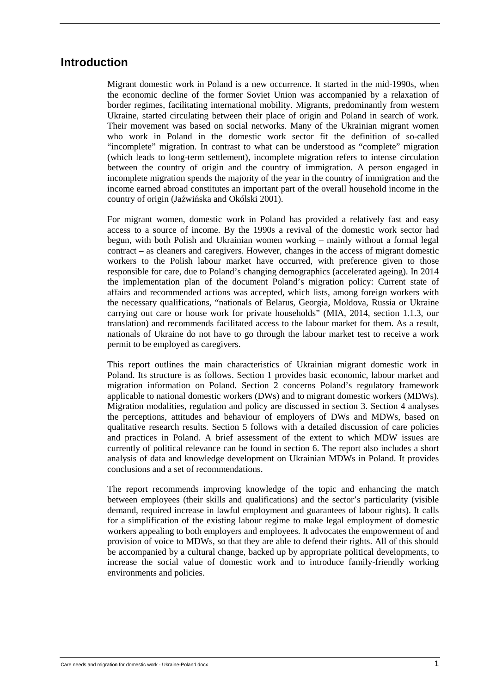### **Introduction**

Migrant domestic work in Poland is a new occurrence. It started in the mid-1990s, when the economic decline of the former Soviet Union was accompanied by a relaxation of border regimes, facilitating international mobility. Migrants, predominantly from western Ukraine, started circulating between their place of origin and Poland in search of work. Their movement was based on social networks. Many of the Ukrainian migrant women who work in Poland in the domestic work sector fit the definition of so-called "incomplete" migration. In contrast to what can be understood as "complete" migration (which leads to long-term settlement), incomplete migration refers to intense circulation between the country of origin and the country of immigration. A person engaged in incomplete migration spends the majority of the year in the country of immigration and the income earned abroad constitutes an important part of the overall household income in the country of origin (Jaźwińska and Okólski 2001).

For migrant women, domestic work in Poland has provided a relatively fast and easy access to a source of income. By the 1990s a revival of the domestic work sector had begun, with both Polish and Ukrainian women working – mainly without a formal legal contract – as cleaners and caregivers. However, changes in the access of migrant domestic workers to the Polish labour market have occurred, with preference given to those responsible for care, due to Poland's changing demographics (accelerated ageing). In 2014 the implementation plan of the document Poland's migration policy: Current state of affairs and recommended actions was accepted, which lists, among foreign workers with the necessary qualifications, "nationals of Belarus, Georgia, Moldova, Russia or Ukraine carrying out care or house work for private households" (MIA, 2014, section 1.1.3, our translation) and recommends facilitated access to the labour market for them. As a result, nationals of Ukraine do not have to go through the labour market test to receive a work permit to be employed as caregivers.

This report outlines the main characteristics of Ukrainian migrant domestic work in Poland. Its structure is as follows. Section 1 provides basic economic, labour market and migration information on Poland. Section 2 concerns Poland's regulatory framework applicable to national domestic workers (DWs) and to migrant domestic workers (MDWs). Migration modalities, regulation and policy are discussed in section 3. Section 4 analyses the perceptions, attitudes and behaviour of employers of DWs and MDWs, based on qualitative research results. Section 5 follows with a detailed discussion of care policies and practices in Poland. A brief assessment of the extent to which MDW issues are currently of political relevance can be found in section 6. The report also includes a short analysis of data and knowledge development on Ukrainian MDWs in Poland. It provides conclusions and a set of recommendations.

The report recommends improving knowledge of the topic and enhancing the match between employees (their skills and qualifications) and the sector's particularity (visible demand, required increase in lawful employment and guarantees of labour rights). It calls for a simplification of the existing labour regime to make legal employment of domestic workers appealing to both employers and employees. It advocates the empowerment of and provision of voice to MDWs, so that they are able to defend their rights. All of this should be accompanied by a cultural change, backed up by appropriate political developments, to increase the social value of domestic work and to introduce family-friendly working environments and policies.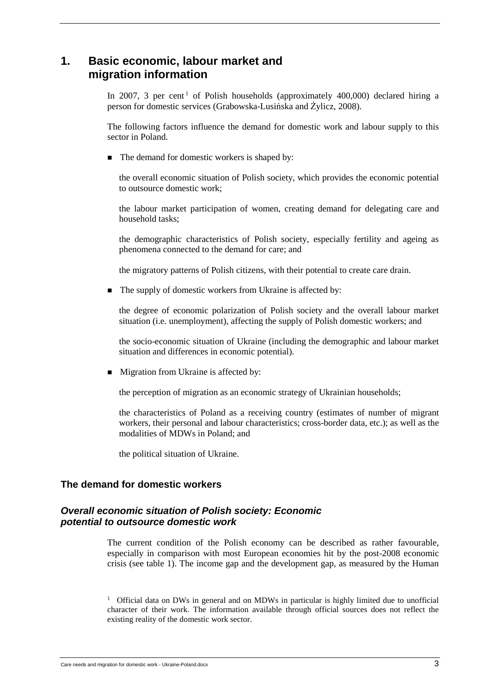## **1. Basic economic, labour market and migration information**

In 2007, 3 per cent<sup>1</sup> of Polish households (approximately 400,000) declared hiring a person for domestic services (Grabowska-Lusińska and Żylicz, 2008).

The following factors influence the demand for domestic work and labour supply to this sector in Poland.

■ The demand for domestic workers is shaped by:

the overall economic situation of Polish society, which provides the economic potential to outsource domestic work;

the labour market participation of women, creating demand for delegating care and household tasks;

the demographic characteristics of Polish society, especially fertility and ageing as phenomena connected to the demand for care; and

the migratory patterns of Polish citizens, with their potential to create care drain.

■ The supply of domestic workers from Ukraine is affected by:

the degree of economic polarization of Polish society and the overall labour market situation (i.e. unemployment), affecting the supply of Polish domestic workers; and

the socio-economic situation of Ukraine (including the demographic and labour market situation and differences in economic potential).

**Migration from Ukraine is affected by:** 

the perception of migration as an economic strategy of Ukrainian households;

the characteristics of Poland as a receiving country (estimates of number of migrant workers, their personal and labour characteristics; cross-border data, etc.); as well as the modalities of MDWs in Poland; and

the political situation of Ukraine.

#### **The demand for domestic workers**

#### **Overall economic situation of Polish society: Economic potential to outsource domestic work**

The current condition of the Polish economy can be described as rather favourable, especially in comparison with most European economies hit by the post-2008 economic crisis (see table 1). The income gap and the development gap, as measured by the Human

<sup>1</sup> Official data on DWs in general and on MDWs in particular is highly limited due to unofficial character of their work. The information available through official sources does not reflect the existing reality of the domestic work sector.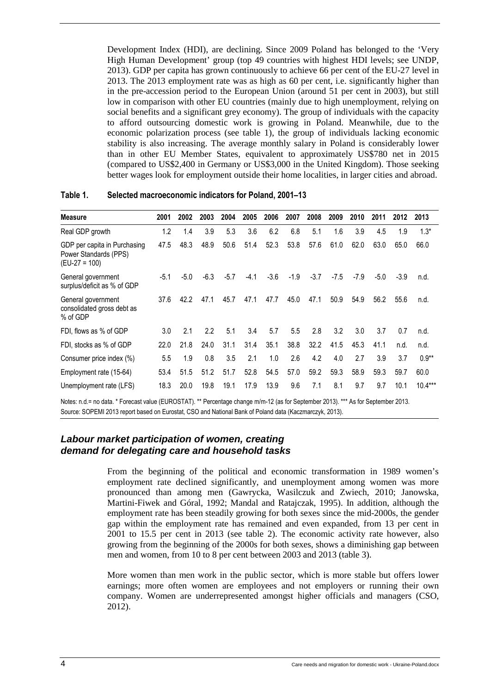Development Index (HDI), are declining. Since 2009 Poland has belonged to the 'Very High Human Development' group (top 49 countries with highest HDI levels; see UNDP, 2013). GDP per capita has grown continuously to achieve 66 per cent of the EU-27 level in 2013. The 2013 employment rate was as high as 60 per cent, i.e. significantly higher than in the pre-accession period to the European Union (around 51 per cent in 2003), but still low in comparison with other EU countries (mainly due to high unemployment, relying on social benefits and a significant grey economy). The group of individuals with the capacity to afford outsourcing domestic work is growing in Poland. Meanwhile, due to the economic polarization process (see table 1), the group of individuals lacking economic stability is also increasing. The average monthly salary in Poland is considerably lower than in other EU Member States, equivalent to approximately US\$780 net in 2015 (compared to US\$2,400 in Germany or US\$3,000 in the United Kingdom). Those seeking better wages look for employment outside their home localities, in larger cities and abroad.

| <b>Measure</b>                                                         | 2001 | 2002   | 2003   | 2004   | 2005 | 2006   | 2007   | 2008   | 2009   | 2010   | 2011   | 2012   | 2013      |
|------------------------------------------------------------------------|------|--------|--------|--------|------|--------|--------|--------|--------|--------|--------|--------|-----------|
| Real GDP growth                                                        | 1.2  | 1.4    | 3.9    | 5.3    | 3.6  | 6.2    | 6.8    | 5.1    | 1.6    | 3.9    | 4.5    | 1.9    | $1.3*$    |
| GDP per capita in Purchasing<br>Power Standards (PPS)<br>(EU-27 = 100) | 47.5 | 48.3   | 48.9   | 50.6   | 51.4 | 52.3   | 53.8   | 57.6   | 61.0   | 62.0   | 63.0   | 65.0   | 66.0      |
| General government<br>surplus/deficit as % of GDP                      | -5.1 | $-5.0$ | $-6.3$ | $-5.7$ | -4.1 | $-3.6$ | $-1.9$ | $-3.7$ | $-7.5$ | $-7.9$ | $-5.0$ | $-3.9$ | n.d.      |
| General government<br>consolidated gross debt as<br>% of GDP           | 37.6 | 42.2   | 47.1   | 45.7   | 47.1 | 47.7   | 45.0   | 47.1   | 50.9   | 54.9   | 56.2   | 55.6   | n.d.      |
| FDI, flows as % of GDP                                                 | 3.0  | 2.1    | 2.2    | 5.1    | 3.4  | 5.7    | 5.5    | 2.8    | 3.2    | 3.0    | 3.7    | 0.7    | n.d.      |
| FDI, stocks as % of GDP                                                | 22.0 | 21.8   | 24.0   | 31.1   | 31.4 | 35.1   | 38.8   | 32.2   | 41.5   | 45.3   | 41.1   | n.d.   | n.d.      |
| Consumer price index (%)                                               | 5.5  | 1.9    | 0.8    | 3.5    | 2.1  | 1.0    | 2.6    | 4.2    | 4.0    | 2.7    | 3.9    | 3.7    | $0.9**$   |
| Employment rate (15-64)                                                | 53.4 | 51.5   | 51.2   | 51.7   | 52.8 | 54.5   | 57.0   | 59.2   | 59.3   | 58.9   | 59.3   | 59.7   | 60.0      |
| Unemployment rate (LFS)                                                | 18.3 | 20.0   | 19.8   | 19.1   | 17.9 | 13.9   | 9.6    | 7.1    | 8.1    | 9.7    | 9.7    | 10.1   | $10.4***$ |

#### **Table 1. Selected macroeconomic indicators for Poland, 2001–13**

Notes: n.d.= no data. \* Forecast value (EUROSTAT). \*\* Percentage change m/m-12 (as for September 2013). \*\*\* As for September 2013. Source: SOPEMI 2013 report based on Eurostat, CSO and National Bank of Poland data (Kaczmarczyk, 2013).

#### **Labour market participation of women, creating demand for delegating care and household tasks**

From the beginning of the political and economic transformation in 1989 women's employment rate declined significantly, and unemployment among women was more pronounced than among men (Gawrycka, Wasilczuk and Zwiech, 2010; Janowska, Martini-Fiwek and Góral, 1992; Mandal and Ratajczak, 1995). In addition, although the employment rate has been steadily growing for both sexes since the mid-2000s, the gender gap within the employment rate has remained and even expanded, from 13 per cent in 2001 to 15.5 per cent in 2013 (see table 2). The economic activity rate however, also growing from the beginning of the 2000s for both sexes, shows a diminishing gap between men and women, from 10 to 8 per cent between 2003 and 2013 (table 3).

More women than men work in the public sector, which is more stable but offers lower earnings; more often women are employees and not employers or running their own company. Women are underrepresented amongst higher officials and managers (CSO, 2012).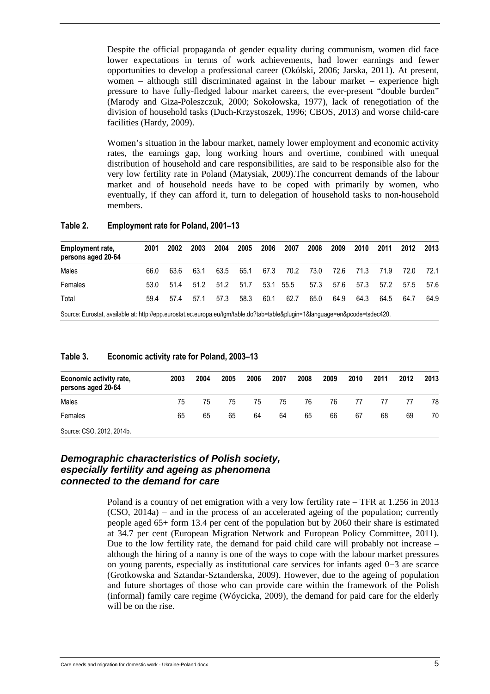Despite the official propaganda of gender equality during communism, women did face lower expectations in terms of work achievements, had lower earnings and fewer opportunities to develop a professional career (Okólski, 2006; Jarska, 2011). At present, women – although still discriminated against in the labour market – experience high pressure to have fully-fledged labour market careers, the ever-present "double burden" (Marody and Giza-Poleszczuk, 2000; Sokołowska, 1977), lack of renegotiation of the division of household tasks (Duch-Krzystoszek, 1996; CBOS, 2013) and worse child-care facilities (Hardy, 2009).

Women's situation in the labour market, namely lower employment and economic activity rates, the earnings gap, long working hours and overtime, combined with unequal distribution of household and care responsibilities, are said to be responsible also for the very low fertility rate in Poland (Matysiak, 2009).The concurrent demands of the labour market and of household needs have to be coped with primarily by women, who eventually, if they can afford it, turn to delegation of household tasks to non-household members.

#### **Table 2. Employment rate for Poland, 2001–13**

| Employment rate,<br>persons aged 20-64                                                                                                                | 2001 | 2002 | 2003 | 2004 | 2005      | 2006 | 2007      | 2008       | 2009 | 2010      | 2011 | 2012 2013 |      |
|-------------------------------------------------------------------------------------------------------------------------------------------------------|------|------|------|------|-----------|------|-----------|------------|------|-----------|------|-----------|------|
| Males                                                                                                                                                 | 66.0 | 63.6 | 63.1 |      | 63.5 65.1 | 67.3 |           | 70.2  73.0 |      | 72.6 71.3 | 71.9 | 72.0      | 72.1 |
| Females                                                                                                                                               | 53 O | 51.4 | 51.2 |      | 51.2 51.7 |      | 53.1 55.5 | 57.3       | 57.6 | 57.3      |      | 57.2 57.5 | 57.6 |
| Total                                                                                                                                                 | 59.4 | 57.4 | 57.1 | 57.3 | 58.3      | 60.1 | 62.7      | 65.0       | 64.9 | 64.3      | 64.5 | 64.7      | 64.9 |
| $\Omega$ .  Francescher State and the first second contract of $\Omega$ and $\Omega$ and $\Omega$ and $\Omega$ and $\Omega$ and $\Omega$ and $\Omega$ |      |      |      |      |           |      |           |            |      |           |      |           |      |

Source: Eurostat, available at: http://epp.eurostat.ec.europa.eu/tgm/table.do?tab=table&plugin=1&language=en&pcode=tsdec420.

#### **Table 3. Economic activity rate for Poland, 2003–13**

| Economic activity rate,<br>persons aged 20-64 | 2003 | 2004 | 2005 | 2006 | 2007 | 2008 | 2009 | 2010 | 2011 | 2012 | 2013 |
|-----------------------------------------------|------|------|------|------|------|------|------|------|------|------|------|
| Males                                         | 75   | 75   | 75   | 75   | 75   | 76   | 76   | 77   | 77   |      | 78   |
| Females                                       | 65   | 65   | 65   | 64   | 64   | 65   | 66   | 67   | 68   | 69   | 70   |
| Source: CSO, 2012, 2014b.                     |      |      |      |      |      |      |      |      |      |      |      |

#### **Demographic characteristics of Polish society, especially fertility and ageing as phenomena connected to the demand for care**

Poland is a country of net emigration with a very low fertility rate – TFR at 1.256 in 2013 (CSO, 2014a) – and in the process of an accelerated ageing of the population; currently people aged 65+ form 13.4 per cent of the population but by 2060 their share is estimated at 34.7 per cent (European Migration Network and European Policy Committee, 2011). Due to the low fertility rate, the demand for paid child care will probably not increase – although the hiring of a nanny is one of the ways to cope with the labour market pressures on young parents, especially as institutional care services for infants aged 0−3 are scarce (Grotkowska and Sztandar-Sztanderska, 2009). However, due to the ageing of population and future shortages of those who can provide care within the framework of the Polish (informal) family care regime (Wóycicka, 2009), the demand for paid care for the elderly will be on the rise.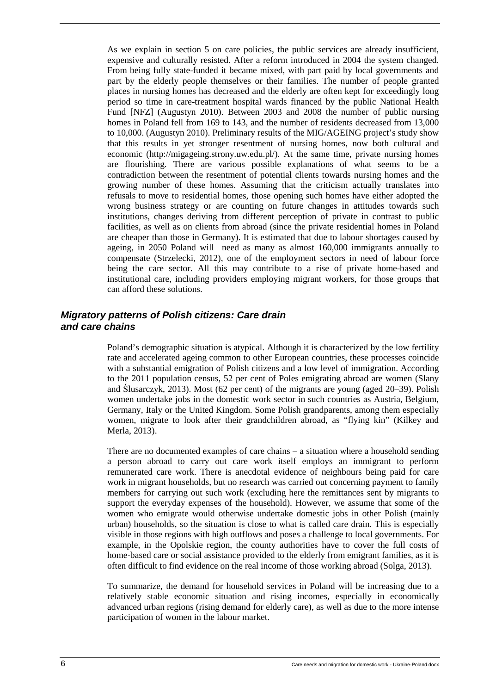As we explain in section 5 on care policies, the public services are already insufficient, expensive and culturally resisted. After a reform introduced in 2004 the system changed. From being fully state-funded it became mixed, with part paid by local governments and part by the elderly people themselves or their families. The number of people granted places in nursing homes has decreased and the elderly are often kept for exceedingly long period so time in care-treatment hospital wards financed by the public National Health Fund [NFZ] (Augustyn 2010). Between 2003 and 2008 the number of public nursing homes in Poland fell from 169 to 143, and the number of residents decreased from 13,000 to 10,000. (Augustyn 2010). Preliminary results of the MIG/AGEING project's study show that this results in yet stronger resentment of nursing homes, now both cultural and economic (http://migageing.strony.uw.edu.pl/). At the same time, private nursing homes are flourishing. There are various possible explanations of what seems to be a contradiction between the resentment of potential clients towards nursing homes and the growing number of these homes. Assuming that the criticism actually translates into refusals to move to residential homes, those opening such homes have either adopted the wrong business strategy or are counting on future changes in attitudes towards such institutions, changes deriving from different perception of private in contrast to public facilities, as well as on clients from abroad (since the private residential homes in Poland are cheaper than those in Germany). It is estimated that due to labour shortages caused by ageing, in 2050 Poland will need as many as almost 160,000 immigrants annually to compensate (Strzelecki, 2012), one of the employment sectors in need of labour force being the care sector. All this may contribute to a rise of private home-based and institutional care, including providers employing migrant workers, for those groups that can afford these solutions.

#### **Migratory patterns of Polish citizens: Care drain and care chains**

Poland's demographic situation is atypical. Although it is characterized by the low fertility rate and accelerated ageing common to other European countries, these processes coincide with a substantial emigration of Polish citizens and a low level of immigration. According to the 2011 population census, 52 per cent of Poles emigrating abroad are women (Slany and Ślusarczyk, 2013). Most (62 per cent) of the migrants are young (aged 20–39). Polish women undertake jobs in the domestic work sector in such countries as Austria, Belgium, Germany, Italy or the United Kingdom. Some Polish grandparents, among them especially women, migrate to look after their grandchildren abroad, as "flying kin" (Kilkey and Merla, 2013).

There are no documented examples of care chains – a situation where a household sending a person abroad to carry out care work itself employs an immigrant to perform remunerated care work. There is anecdotal evidence of neighbours being paid for care work in migrant households, but no research was carried out concerning payment to family members for carrying out such work (excluding here the remittances sent by migrants to support the everyday expenses of the household). However, we assume that some of the women who emigrate would otherwise undertake domestic jobs in other Polish (mainly urban) households, so the situation is close to what is called care drain. This is especially visible in those regions with high outflows and poses a challenge to local governments. For example, in the Opolskie region, the county authorities have to cover the full costs of home-based care or social assistance provided to the elderly from emigrant families, as it is often difficult to find evidence on the real income of those working abroad (Solga, 2013).

To summarize, the demand for household services in Poland will be increasing due to a relatively stable economic situation and rising incomes, especially in economically advanced urban regions (rising demand for elderly care), as well as due to the more intense participation of women in the labour market.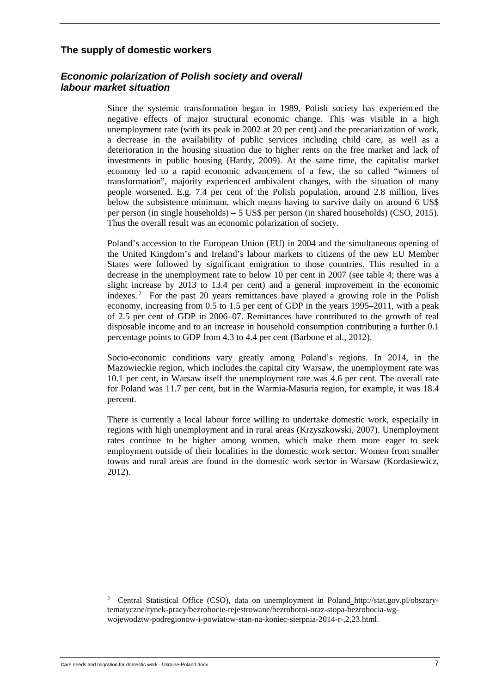#### **The supply of domestic workers**

#### **Economic polarization of Polish society and overall labour market situation**

Since the systemic transformation began in 1989, Polish society has experienced the negative effects of major structural economic change. This was visible in a high unemployment rate (with its peak in 2002 at 20 per cent) and the precariarization of work, a decrease in the availability of public services including child care, as well as a deterioration in the housing situation due to higher rents on the free market and lack of investments in public housing (Hardy, 2009). At the same time, the capitalist market economy led to a rapid economic advancement of a few, the so called "winners of transformation", majority experienced ambivalent changes, with the situation of many people worsened. E.g. 7.4 per cent of the Polish population, around 2.8 million, lives below the subsistence minimum, which means having to survive daily on around 6 US\$ per person (in single households) – 5 US\$ per person (in shared households) (CSO, 2015). Thus the overall result was an economic polarization of society.

Poland's accession to the European Union (EU) in 2004 and the simultaneous opening of the United Kingdom's and Ireland's labour markets to citizens of the new EU Member States were followed by significant emigration to those countries. This resulted in a decrease in the unemployment rate to below 10 per cent in 2007 (see table 4; there was a slight increase by 2013 to 13.4 per cent) and a general improvement in the economic indexes.<sup>2</sup> For the past 20 years remittances have played a growing role in the Polish economy, increasing from 0.5 to 1.5 per cent of GDP in the years 1995–2011, with a peak of 2.5 per cent of GDP in 2006–07. Remittances have contributed to the growth of real disposable income and to an increase in household consumption contributing a further 0.1 percentage points to GDP from 4.3 to 4.4 per cent (Barbone et al., 2012).

Socio-economic conditions vary greatly among Poland's regions. In 2014, in the Mazowieckie region, which includes the capital city Warsaw, the unemployment rate was 10.1 per cent, in Warsaw itself the unemployment rate was 4.6 per cent. The overall rate for Poland was 11.7 per cent, but in the Warmia-Masuria region, for example, it was 18.4 percent.

There is currently a local labour force willing to undertake domestic work, especially in regions with high unemployment and in rural areas (Krzyszkowski, 2007). Unemployment rates continue to be higher among women, which make them more eager to seek employment outside of their localities in the domestic work sector. Women from smaller towns and rural areas are found in the domestic work sector in Warsaw (Kordasiewicz, 2012).

2 Central Statistical Office (CSO), data on unemployment in Poland http://stat.gov.pl/obszarytematyczne/rynek-pracy/bezrobocie-rejestrowane/bezrobotni-oraz-stopa-bezrobocia-wgwojewodztw-podregionow-i-powiatow-stan-na-koniec-sierpnia-2014-r-,2,23.html.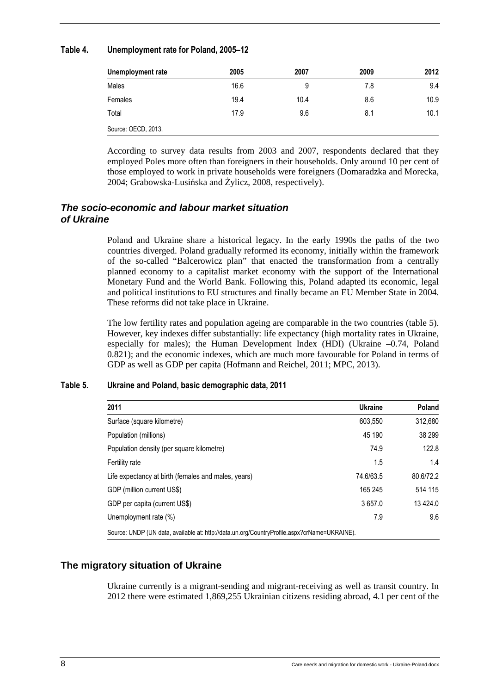#### **Table 4. Unemployment rate for Poland, 2005–12**

| Unemployment rate   | 2005 | 2007 | 2009 | 2012 |
|---------------------|------|------|------|------|
| Males               | 16.6 | 9    | 7.8  | 9.4  |
| Females             | 19.4 | 10.4 | 8.6  | 10.9 |
| Total               | 17.9 | 9.6  | 8.1  | 10.1 |
| Source: OECD, 2013. |      |      |      |      |

According to survey data results from 2003 and 2007, respondents declared that they employed Poles more often than foreigners in their households. Only around 10 per cent of those employed to work in private households were foreigners (Domaradzka and Morecka, 2004; Grabowska-Lusińska and Żylicz, 2008, respectively).

#### **The socio-economic and labour market situation of Ukraine**

Poland and Ukraine share a historical legacy. In the early 1990s the paths of the two countries diverged. Poland gradually reformed its economy, initially within the framework of the so-called "Balcerowicz plan" that enacted the transformation from a centrally planned economy to a capitalist market economy with the support of the International Monetary Fund and the World Bank. Following this, Poland adapted its economic, legal and political institutions to EU structures and finally became an EU Member State in 2004. These reforms did not take place in Ukraine.

The low fertility rates and population ageing are comparable in the two countries (table 5). However, key indexes differ substantially: life expectancy (high mortality rates in Ukraine, especially for males); the Human Development Index (HDI) (Ukraine –0.74, Poland 0.821); and the economic indexes, which are much more favourable for Poland in terms of GDP as well as GDP per capita (Hofmann and Reichel, 2011; MPC, 2013).

#### **Table 5. Ukraine and Poland, basic demographic data, 2011**

| 2011                                                                                         | Ukraine   | <b>Poland</b> |
|----------------------------------------------------------------------------------------------|-----------|---------------|
| Surface (square kilometre)                                                                   | 603.550   | 312,680       |
| Population (millions)                                                                        | 45 190    | 38 299        |
| Population density (per square kilometre)                                                    | 74.9      | 122.8         |
| Fertility rate                                                                               | 1.5       | 1.4           |
| Life expectancy at birth (females and males, years)                                          | 74.6/63.5 | 80.6/72.2     |
| GDP (million current US\$)                                                                   | 165 245   | 514 115       |
| GDP per capita (current US\$)                                                                | 3657.0    | 13 4 24.0     |
| Unemployment rate (%)                                                                        | 7.9       | 9.6           |
| Source: UNDP (UN data, available at: http://data.un.org/CountryProfile.aspx?crName=UKRAINE). |           |               |

#### **The migratory situation of Ukraine**

Ukraine currently is a migrant-sending and migrant-receiving as well as transit country. In 2012 there were estimated 1,869,255 Ukrainian citizens residing abroad, 4.1 per cent of the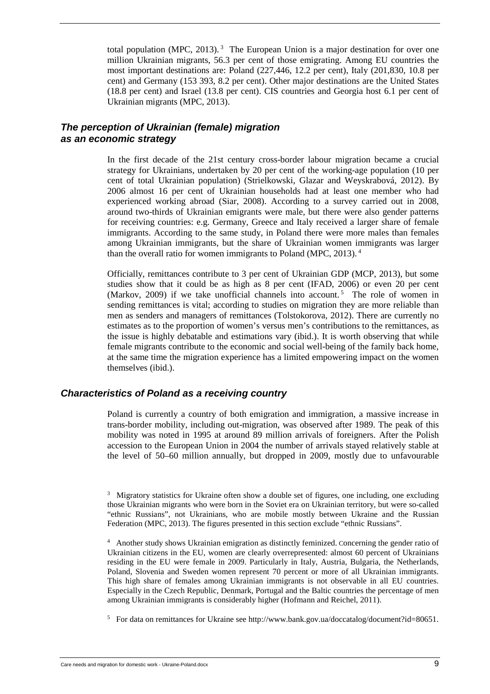total population (MPC, 2013).<sup>3</sup> The European Union is a major destination for over one million Ukrainian migrants, 56.3 per cent of those emigrating. Among EU countries the most important destinations are: Poland (227,446, 12.2 per cent), Italy (201,830, 10.8 per cent) and Germany (153 393, 8.2 per cent). Other major destinations are the United States (18.8 per cent) and Israel (13.8 per cent). CIS countries and Georgia host 6.1 per cent of Ukrainian migrants (MPC, 2013).

#### **The perception of Ukrainian (female) migration as an economic strategy**

In the first decade of the 21st century cross-border labour migration became a crucial strategy for Ukrainians, undertaken by 20 per cent of the working-age population (10 per cent of total Ukrainian population) (Strielkowski, Glazar and Weyskrabová, 2012). By 2006 almost 16 per cent of Ukrainian households had at least one member who had experienced working abroad (Siar, 2008). According to a survey carried out in 2008, around two-thirds of Ukrainian emigrants were male, but there were also gender patterns for receiving countries: e.g. Germany, Greece and Italy received a larger share of female immigrants. According to the same study, in Poland there were more males than females among Ukrainian immigrants, but the share of Ukrainian women immigrants was larger than the overall ratio for women immigrants to Poland (MPC, 2013).<sup>4</sup>

Officially, remittances contribute to 3 per cent of Ukrainian GDP (MCP, 2013), but some studies show that it could be as high as 8 per cent (IFAD, 2006) or even 20 per cent (Markov, 2009) if we take unofficial channels into account.<sup>5</sup> The role of women in sending remittances is vital; according to studies on migration they are more reliable than men as senders and managers of remittances (Tolstokorova, 2012). There are currently no estimates as to the proportion of women's versus men's contributions to the remittances, as the issue is highly debatable and estimations vary (ibid.). It is worth observing that while female migrants contribute to the economic and social well-being of the family back home, at the same time the migration experience has a limited empowering impact on the women themselves (ibid.).

#### **Characteristics of Poland as a receiving country**

Poland is currently a country of both emigration and immigration, a massive increase in trans-border mobility, including out-migration, was observed after 1989. The peak of this mobility was noted in 1995 at around 89 million arrivals of foreigners. After the Polish accession to the European Union in 2004 the number of arrivals stayed relatively stable at the level of 50–60 million annually, but dropped in 2009, mostly due to unfavourable

<sup>&</sup>lt;sup>3</sup> Migratory statistics for Ukraine often show a double set of figures, one including, one excluding those Ukrainian migrants who were born in the Soviet era on Ukrainian territory, but were so-called "ethnic Russians", not Ukrainians, who are mobile mostly between Ukraine and the Russian Federation (MPC, 2013). The figures presented in this section exclude "ethnic Russians".

<sup>&</sup>lt;sup>4</sup> Another study shows Ukrainian emigration as distinctly feminized. Concerning the gender ratio of Ukrainian citizens in the EU, women are clearly overrepresented: almost 60 percent of Ukrainians residing in the EU were female in 2009. Particularly in Italy, Austria, Bulgaria, the Netherlands, Poland, Slovenia and Sweden women represent 70 percent or more of all Ukrainian immigrants. This high share of females among Ukrainian immigrants is not observable in all EU countries. Especially in the Czech Republic, Denmark, Portugal and the Baltic countries the percentage of men among Ukrainian immigrants is considerably higher (Hofmann and Reichel, 2011).

<sup>&</sup>lt;sup>5</sup> For data on remittances for Ukraine see http://www.bank.gov.ua/doccatalog/document?id=80651.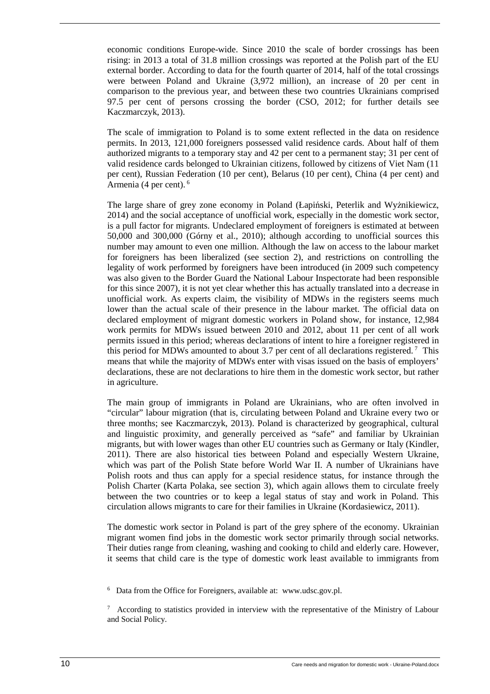economic conditions Europe-wide. Since 2010 the scale of border crossings has been rising: in 2013 a total of 31.8 million crossings was reported at the Polish part of the EU external border. According to data for the fourth quarter of 2014, half of the total crossings were between Poland and Ukraine (3,972 million), an increase of 20 per cent in comparison to the previous year, and between these two countries Ukrainians comprised 97.5 per cent of persons crossing the border (CSO, 2012; for further details see Kaczmarczyk, 2013).

The scale of immigration to Poland is to some extent reflected in the data on residence permits. In 2013, 121,000 foreigners possessed valid residence cards. About half of them authorized migrants to a temporary stay and 42 per cent to a permanent stay; 31 per cent of valid residence cards belonged to Ukrainian citizens, followed by citizens of Viet Nam (11 per cent), Russian Federation (10 per cent), Belarus (10 per cent), China (4 per cent) and Armenia (4 per cent).<sup>6</sup>

The large share of grey zone economy in Poland (Łapiński, Peterlik and Wyżnikiewicz, 2014) and the social acceptance of unofficial work, especially in the domestic work sector, is a pull factor for migrants. Undeclared employment of foreigners is estimated at between 50,000 and 300,000 (Górny et al., 2010); although according to unofficial sources this number may amount to even one million. Although the law on access to the labour market for foreigners has been liberalized (see section 2), and restrictions on controlling the legality of work performed by foreigners have been introduced (in 2009 such competency was also given to the Border Guard the National Labour Inspectorate had been responsible for this since 2007), it is not yet clear whether this has actually translated into a decrease in unofficial work. As experts claim, the visibility of MDWs in the registers seems much lower than the actual scale of their presence in the labour market. The official data on declared employment of migrant domestic workers in Poland show, for instance, 12,984 work permits for MDWs issued between 2010 and 2012, about 11 per cent of all work permits issued in this period; whereas declarations of intent to hire a foreigner registered in this period for MDWs amounted to about 3.7 per cent of all declarations registered.<sup>7</sup> This means that while the majority of MDWs enter with visas issued on the basis of employers' declarations, these are not declarations to hire them in the domestic work sector, but rather in agriculture.

The main group of immigrants in Poland are Ukrainians, who are often involved in "circular" labour migration (that is, circulating between Poland and Ukraine every two or three months; see Kaczmarczyk, 2013). Poland is characterized by geographical, cultural and linguistic proximity, and generally perceived as "safe" and familiar by Ukrainian migrants, but with lower wages than other EU countries such as Germany or Italy (Kindler, 2011). There are also historical ties between Poland and especially Western Ukraine, which was part of the Polish State before World War II. A number of Ukrainians have Polish roots and thus can apply for a special residence status, for instance through the Polish Charter (Karta Polaka, see section 3), which again allows them to circulate freely between the two countries or to keep a legal status of stay and work in Poland. This circulation allows migrants to care for their families in Ukraine (Kordasiewicz, 2011).

The domestic work sector in Poland is part of the grey sphere of the economy. Ukrainian migrant women find jobs in the domestic work sector primarily through social networks. Their duties range from cleaning, washing and cooking to child and elderly care. However, it seems that child care is the type of domestic work least available to immigrants from

6 Data from the Office for Foreigners, available at: www.udsc.gov.pl.

<sup>&</sup>lt;sup>7</sup> According to statistics provided in interview with the representative of the Ministry of Labour and Social Policy.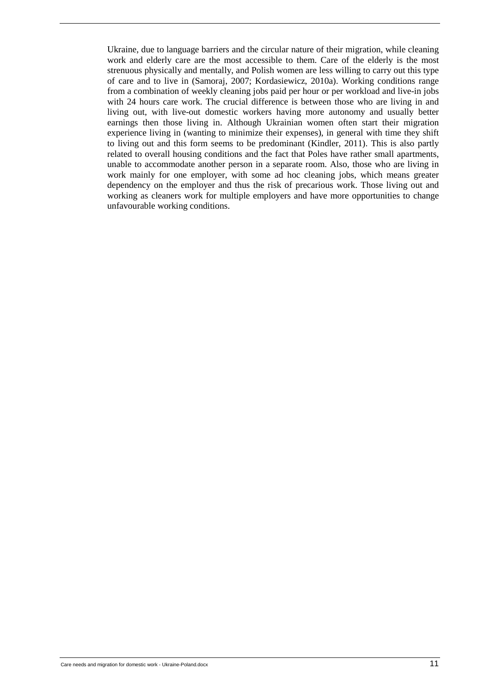Ukraine, due to language barriers and the circular nature of their migration, while cleaning work and elderly care are the most accessible to them. Care of the elderly is the most strenuous physically and mentally, and Polish women are less willing to carry out this type of care and to live in (Samoraj, 2007; Kordasiewicz, 2010a). Working conditions range from a combination of weekly cleaning jobs paid per hour or per workload and live-in jobs with 24 hours care work. The crucial difference is between those who are living in and living out, with live-out domestic workers having more autonomy and usually better earnings then those living in. Although Ukrainian women often start their migration experience living in (wanting to minimize their expenses), in general with time they shift to living out and this form seems to be predominant (Kindler, 2011). This is also partly related to overall housing conditions and the fact that Poles have rather small apartments, unable to accommodate another person in a separate room. Also, those who are living in work mainly for one employer, with some ad hoc cleaning jobs, which means greater dependency on the employer and thus the risk of precarious work. Those living out and working as cleaners work for multiple employers and have more opportunities to change unfavourable working conditions.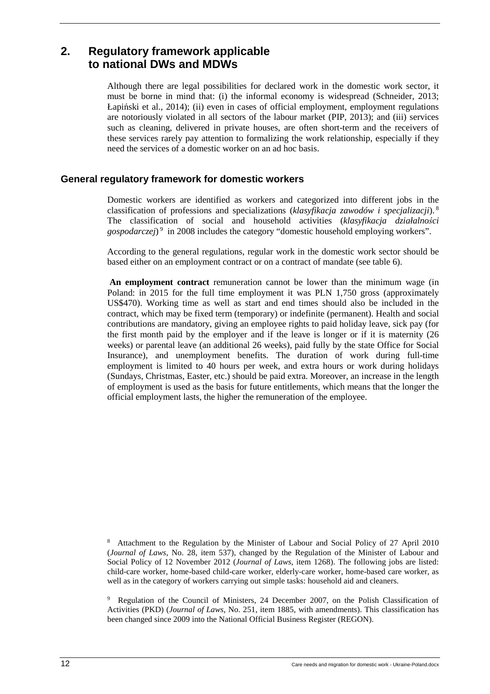## **2. Regulatory framework applicable to national DWs and MDWs**

Although there are legal possibilities for declared work in the domestic work sector, it must be borne in mind that: (i) the informal economy is widespread (Schneider, 2013; Łapiński et al., 2014); (ii) even in cases of official employment, employment regulations are notoriously violated in all sectors of the labour market (PIP, 2013); and (iii) services such as cleaning, delivered in private houses, are often short-term and the receivers of these services rarely pay attention to formalizing the work relationship, especially if they need the services of a domestic worker on an ad hoc basis.

#### **General regulatory framework for domestic workers**

Domestic workers are identified as workers and categorized into different jobs in the classification of professions and specializations (*klasyfikacja zawodów i specjalizacji*).<sup>8</sup> The classification of social and household activities (*klasyfikacja działalności gospodarczej*) <sup>9</sup> in 2008 includes the category "domestic household employing workers".

According to the general regulations, regular work in the domestic work sector should be based either on an employment contract or on a contract of mandate (see table 6).

**An employment contract** remuneration cannot be lower than the minimum wage (in Poland: in 2015 for the full time employment it was PLN 1,750 gross (approximately US\$470). Working time as well as start and end times should also be included in the contract, which may be fixed term (temporary) or indefinite (permanent). Health and social contributions are mandatory, giving an employee rights to paid holiday leave, sick pay (for the first month paid by the employer and if the leave is longer or if it is maternity (26 weeks) or parental leave (an additional 26 weeks), paid fully by the state Office for Social Insurance), and unemployment benefits. The duration of work during full-time employment is limited to 40 hours per week, and extra hours or work during holidays (Sundays, Christmas, Easter, etc.) should be paid extra. Moreover, an increase in the length of employment is used as the basis for future entitlements, which means that the longer the official employment lasts, the higher the remuneration of the employee.

9 Regulation of the Council of Ministers, 24 December 2007, on the Polish Classification of Activities (PKD) (*Journal of Laws*, No. 251, item 1885, with amendments). This classification has been changed since 2009 into the National Official Business Register (REGON).

<sup>&</sup>lt;sup>8</sup> Attachment to the Regulation by the Minister of Labour and Social Policy of 27 April 2010 (*Journal of Laws*, No. 28, item 537), changed by the Regulation of the Minister of Labour and Social Policy of 12 November 2012 (*Journal of Laws*, item 1268). The following jobs are listed: child-care worker, home-based child-care worker, elderly-care worker, home-based care worker, as well as in the category of workers carrying out simple tasks: household aid and cleaners.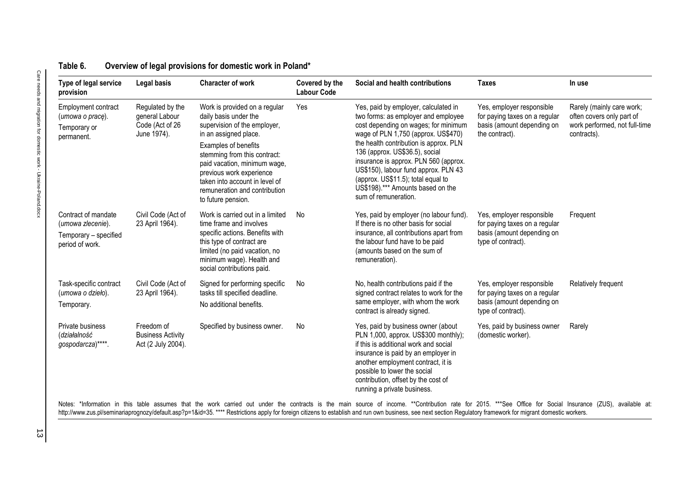| Type of legal service<br>provision                                                   | Legal basis                                                          | Character of work                                                                                                                                                                                                                                                                                                            | Covered by the<br><b>Labour Code</b> | Social and health contributions                                                                                                                                                                                                                                                                                                                                                                                            | <b>Taxes</b>                                                                                                   | In use                                                                                                 |
|--------------------------------------------------------------------------------------|----------------------------------------------------------------------|------------------------------------------------------------------------------------------------------------------------------------------------------------------------------------------------------------------------------------------------------------------------------------------------------------------------------|--------------------------------------|----------------------------------------------------------------------------------------------------------------------------------------------------------------------------------------------------------------------------------------------------------------------------------------------------------------------------------------------------------------------------------------------------------------------------|----------------------------------------------------------------------------------------------------------------|--------------------------------------------------------------------------------------------------------|
| Employment contract<br>(umowa o pracę).<br>Temporary or<br>permanent.                | Regulated by the<br>general Labour<br>Code (Act of 26<br>June 1974). | Work is provided on a regular<br>daily basis under the<br>supervision of the employer,<br>in an assigned place.<br>Examples of benefits<br>stemming from this contract:<br>paid vacation, minimum wage,<br>previous work experience<br>taken into account in level of<br>remuneration and contribution<br>to future pension. | Yes                                  | Yes, paid by employer, calculated in<br>two forms: as employer and employee<br>cost depending on wages; for minimum<br>wage of PLN 1,750 (approx. US\$470)<br>the health contribution is approx. PLN<br>136 (approx. US\$36.5), social<br>insurance is approx. PLN 560 (approx.<br>US\$150), labour fund approx. PLN 43<br>(approx. US\$11.5); total equal to<br>US\$198).*** Amounts based on the<br>sum of remuneration. | Yes, employer responsible<br>for paying taxes on a regular<br>basis (amount depending on<br>the contract).     | Rarely (mainly care work;<br>often covers only part of<br>work performed, not full-time<br>contracts). |
| Contract of mandate<br>(umowa zlecenie).<br>Temporary - specified<br>period of work. | Civil Code (Act of<br>23 April 1964).                                | Work is carried out in a limited<br>time frame and involves<br>specific actions. Benefits with<br>this type of contract are<br>limited (no paid vacation, no<br>minimum wage). Health and<br>social contributions paid.                                                                                                      | No                                   | Yes, paid by employer (no labour fund).<br>If there is no other basis for social<br>insurance, all contributions apart from<br>the labour fund have to be paid<br>(amounts based on the sum of<br>remuneration).                                                                                                                                                                                                           | Yes, employer responsible<br>for paying taxes on a regular<br>basis (amount depending on<br>type of contract). | Frequent                                                                                               |
| Task-specific contract<br>(umowa o dzieło).<br>Temporary.                            | Civil Code (Act of<br>23 April 1964).                                | Signed for performing specific<br>tasks till specified deadline.<br>No additional benefits.                                                                                                                                                                                                                                  | No                                   | No, health contributions paid if the<br>signed contract relates to work for the<br>same employer, with whom the work<br>contract is already signed.                                                                                                                                                                                                                                                                        | Yes, employer responsible<br>for paying taxes on a regular<br>basis (amount depending on<br>type of contract). | Relatively frequent                                                                                    |
| Private business<br>(działalność<br>gospodarcza)****.                                | Freedom of<br><b>Business Activity</b><br>Act (2 July 2004).         | Specified by business owner.                                                                                                                                                                                                                                                                                                 | No                                   | Yes, paid by business owner (about<br>PLN 1,000, approx. US\$300 monthly);<br>if this is additional work and social<br>insurance is paid by an employer in<br>another employment contract, it is<br>possible to lower the social<br>contribution, offset by the cost of<br>running a private business.                                                                                                                     | Yes, paid by business owner<br>(domestic worker).                                                              | Rarely                                                                                                 |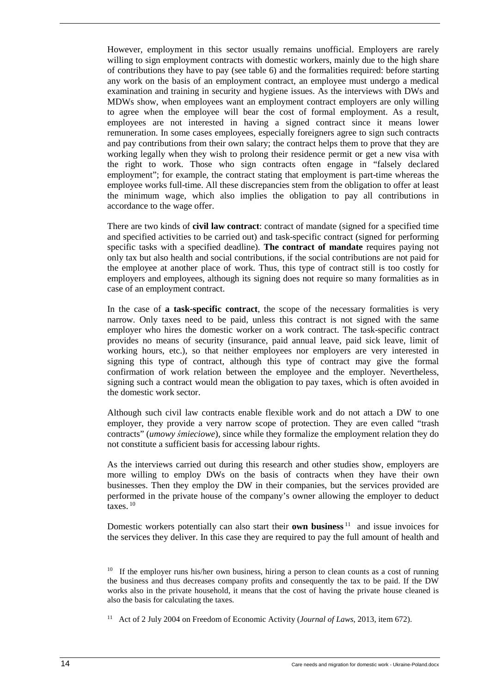However, employment in this sector usually remains unofficial. Employers are rarely willing to sign employment contracts with domestic workers, mainly due to the high share of contributions they have to pay (see table 6) and the formalities required: before starting any work on the basis of an employment contract, an employee must undergo a medical examination and training in security and hygiene issues. As the interviews with DWs and MDWs show, when employees want an employment contract employers are only willing to agree when the employee will bear the cost of formal employment. As a result, employees are not interested in having a signed contract since it means lower remuneration. In some cases employees, especially foreigners agree to sign such contracts and pay contributions from their own salary; the contract helps them to prove that they are working legally when they wish to prolong their residence permit or get a new visa with the right to work. Those who sign contracts often engage in "falsely declared employment"; for example, the contract stating that employment is part-time whereas the employee works full-time. All these discrepancies stem from the obligation to offer at least the minimum wage, which also implies the obligation to pay all contributions in accordance to the wage offer.

There are two kinds of **civil law contract**: contract of mandate (signed for a specified time and specified activities to be carried out) and task-specific contract (signed for performing specific tasks with a specified deadline). **The contract of mandate** requires paying not only tax but also health and social contributions, if the social contributions are not paid for the employee at another place of work. Thus, this type of contract still is too costly for employers and employees, although its signing does not require so many formalities as in case of an employment contract.

In the case of **a task-specific contract**, the scope of the necessary formalities is very narrow. Only taxes need to be paid, unless this contract is not signed with the same employer who hires the domestic worker on a work contract. The task-specific contract provides no means of security (insurance, paid annual leave, paid sick leave, limit of working hours, etc.), so that neither employees nor employers are very interested in signing this type of contract, although this type of contract may give the formal confirmation of work relation between the employee and the employer. Nevertheless, signing such a contract would mean the obligation to pay taxes, which is often avoided in the domestic work sector.

Although such civil law contracts enable flexible work and do not attach a DW to one employer, they provide a very narrow scope of protection. They are even called "trash contracts" (*umowy śmieciowe*), since while they formalize the employment relation they do not constitute a sufficient basis for accessing labour rights.

As the interviews carried out during this research and other studies show, employers are more willing to employ DWs on the basis of contracts when they have their own businesses. Then they employ the DW in their companies, but the services provided are performed in the private house of the company's owner allowing the employer to deduct taxes. $10$ 

Domestic workers potentially can also start their **own business** <sup>11</sup> and issue invoices for the services they deliver. In this case they are required to pay the full amount of health and

 $10$  If the employer runs his/her own business, hiring a person to clean counts as a cost of running the business and thus decreases company profits and consequently the tax to be paid. If the DW works also in the private household, it means that the cost of having the private house cleaned is also the basis for calculating the taxes.

<sup>11</sup> Act of 2 July 2004 on Freedom of Economic Activity (*Journal of Laws*, 2013, item 672).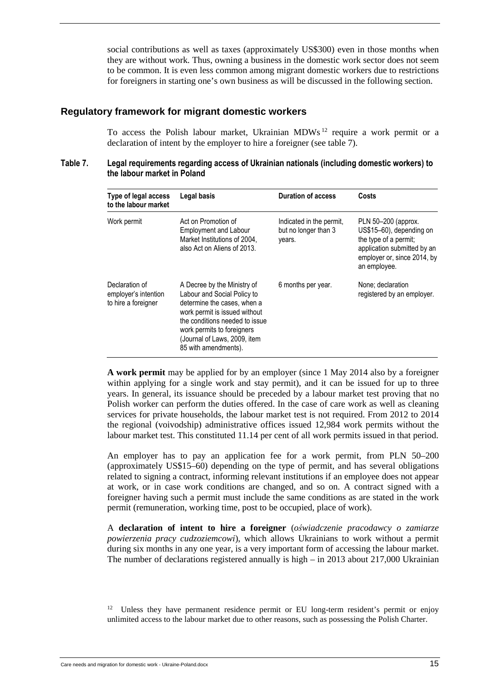social contributions as well as taxes (approximately US\$300) even in those months when they are without work. Thus, owning a business in the domestic work sector does not seem to be common. It is even less common among migrant domestic workers due to restrictions for foreigners in starting one's own business as will be discussed in the following section.

#### **Regulatory framework for migrant domestic workers**

To access the Polish labour market, Ukrainian MDWs<sup>12</sup> require a work permit or a declaration of intent by the employer to hire a foreigner (see table 7).

#### **Table 7. Legal requirements regarding access of Ukrainian nationals (including domestic workers) to the labour market in Poland**

| Type of legal access<br>to the labour market                  | Legal basis                                                                                                                                                                                                                                        | <b>Duration of access</b>                                  | Costs                                                                                                                                                  |
|---------------------------------------------------------------|----------------------------------------------------------------------------------------------------------------------------------------------------------------------------------------------------------------------------------------------------|------------------------------------------------------------|--------------------------------------------------------------------------------------------------------------------------------------------------------|
| Work permit                                                   | Act on Promotion of<br><b>Employment and Labour</b><br>Market Institutions of 2004,<br>also Act on Aliens of 2013.                                                                                                                                 | Indicated in the permit,<br>but no longer than 3<br>years. | PLN 50-200 (approx.<br>US\$15-60), depending on<br>the type of a permit;<br>application submitted by an<br>employer or, since 2014, by<br>an employee. |
| Declaration of<br>employer's intention<br>to hire a foreigner | A Decree by the Ministry of<br>Labour and Social Policy to<br>determine the cases, when a<br>work permit is issued without<br>the conditions needed to issue<br>work permits to foreigners<br>(Journal of Laws, 2009, item<br>85 with amendments). | 6 months per year.                                         | None; declaration<br>registered by an employer.                                                                                                        |

**A work permit** may be applied for by an employer (since 1 May 2014 also by a foreigner within applying for a single work and stay permit), and it can be issued for up to three years. In general, its issuance should be preceded by a labour market test proving that no Polish worker can perform the duties offered. In the case of care work as well as cleaning services for private households, the labour market test is not required. From 2012 to 2014 the regional (voivodship) administrative offices issued 12,984 work permits without the labour market test. This constituted 11.14 per cent of all work permits issued in that period.

An employer has to pay an application fee for a work permit, from PLN 50–200 (approximately US\$15–60) depending on the type of permit, and has several obligations related to signing a contract, informing relevant institutions if an employee does not appear at work, or in case work conditions are changed, and so on. A contract signed with a foreigner having such a permit must include the same conditions as are stated in the work permit (remuneration, working time, post to be occupied, place of work).

A **declaration of intent to hire a foreigner** (*oświadczenie pracodawcy o zamiarze powierzenia pracy cudzoziemcowi*), which allows Ukrainians to work without a permit during six months in any one year, is a very important form of accessing the labour market. The number of declarations registered annually is high – in 2013 about 217,000 Ukrainian

 $12$  Unless they have permanent residence permit or EU long-term resident's permit or enjoy unlimited access to the labour market due to other reasons, such as possessing the Polish Charter.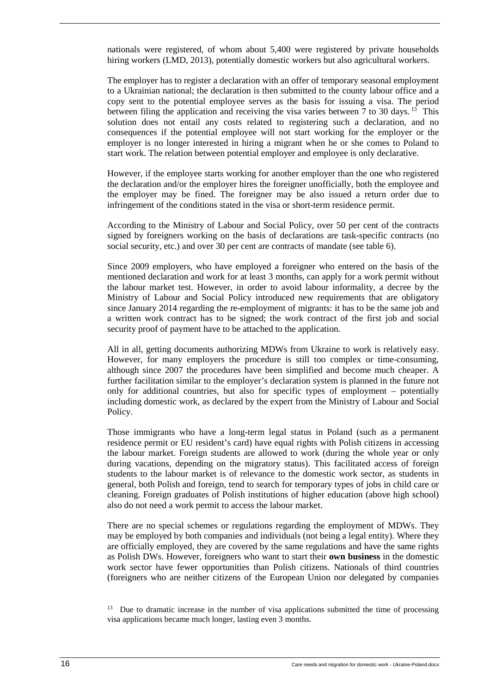nationals were registered, of whom about 5,400 were registered by private households hiring workers (LMD, 2013), potentially domestic workers but also agricultural workers.

The employer has to register a declaration with an offer of temporary seasonal employment to a Ukrainian national; the declaration is then submitted to the county labour office and a copy sent to the potential employee serves as the basis for issuing a visa. The period between filing the application and receiving the visa varies between  $7$  to  $30$  days.<sup>13</sup> This solution does not entail any costs related to registering such a declaration, and no consequences if the potential employee will not start working for the employer or the employer is no longer interested in hiring a migrant when he or she comes to Poland to start work. The relation between potential employer and employee is only declarative.

However, if the employee starts working for another employer than the one who registered the declaration and/or the employer hires the foreigner unofficially, both the employee and the employer may be fined. The foreigner may be also issued a return order due to infringement of the conditions stated in the visa or short-term residence permit.

According to the Ministry of Labour and Social Policy, over 50 per cent of the contracts signed by foreigners working on the basis of declarations are task-specific contracts (no social security, etc.) and over 30 per cent are contracts of mandate (see table 6).

Since 2009 employers, who have employed a foreigner who entered on the basis of the mentioned declaration and work for at least 3 months, can apply for a work permit without the labour market test. However, in order to avoid labour informality, a decree by the Ministry of Labour and Social Policy introduced new requirements that are obligatory since January 2014 regarding the re-employment of migrants: it has to be the same job and a written work contract has to be signed; the work contract of the first job and social security proof of payment have to be attached to the application.

All in all, getting documents authorizing MDWs from Ukraine to work is relatively easy. However, for many employers the procedure is still too complex or time-consuming, although since 2007 the procedures have been simplified and become much cheaper. A further facilitation similar to the employer's declaration system is planned in the future not only for additional countries, but also for specific types of employment – potentially including domestic work, as declared by the expert from the Ministry of Labour and Social Policy.

Those immigrants who have a long-term legal status in Poland (such as a permanent residence permit or EU resident's card) have equal rights with Polish citizens in accessing the labour market. Foreign students are allowed to work (during the whole year or only during vacations, depending on the migratory status). This facilitated access of foreign students to the labour market is of relevance to the domestic work sector, as students in general, both Polish and foreign, tend to search for temporary types of jobs in child care or cleaning. Foreign graduates of Polish institutions of higher education (above high school) also do not need a work permit to access the labour market.

There are no special schemes or regulations regarding the employment of MDWs. They may be employed by both companies and individuals (not being a legal entity). Where they are officially employed, they are covered by the same regulations and have the same rights as Polish DWs. However, foreigners who want to start their **own business** in the domestic work sector have fewer opportunities than Polish citizens. Nationals of third countries (foreigners who are neither citizens of the European Union nor delegated by companies

 $13$  Due to dramatic increase in the number of visa applications submitted the time of processing visa applications became much longer, lasting even 3 months.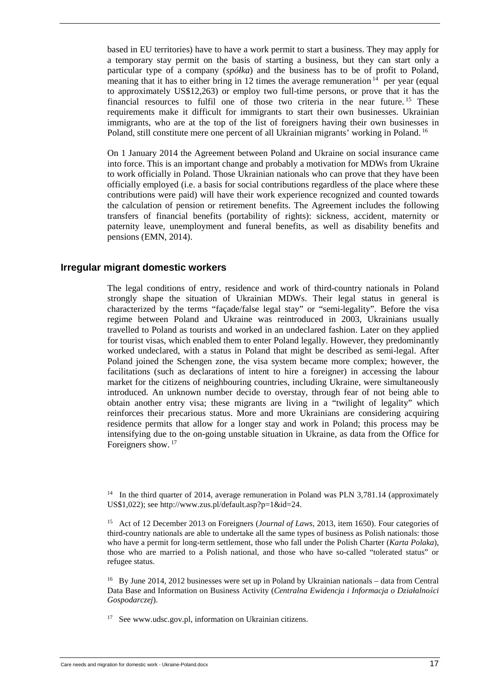based in EU territories) have to have a work permit to start a business. They may apply for a temporary stay permit on the basis of starting a business, but they can start only a particular type of a company (*spółka*) and the business has to be of profit to Poland, meaning that it has to either bring in 12 times the average remuneration<sup>14</sup> per year (equal to approximately US\$12,263) or employ two full-time persons, or prove that it has the financial resources to fulfil one of those two criteria in the near future.<sup>15</sup> These requirements make it difficult for immigrants to start their own businesses. Ukrainian immigrants, who are at the top of the list of foreigners having their own businesses in Poland, still constitute mere one percent of all Ukrainian migrants' working in Poland.<sup>16</sup>

On 1 January 2014 the Agreement between Poland and Ukraine on social insurance came into force. This is an important change and probably a motivation for MDWs from Ukraine to work officially in Poland. Those Ukrainian nationals who can prove that they have been officially employed (i.e. a basis for social contributions regardless of the place where these contributions were paid) will have their work experience recognized and counted towards the calculation of pension or retirement benefits. The Agreement includes the following transfers of financial benefits (portability of rights): sickness, accident, maternity or paternity leave, unemployment and funeral benefits, as well as disability benefits and pensions (EMN, 2014).

#### **Irregular migrant domestic workers**

The legal conditions of entry, residence and work of third-country nationals in Poland strongly shape the situation of Ukrainian MDWs. Their legal status in general is characterized by the terms "façade/false legal stay" or "semi-legality". Before the visa regime between Poland and Ukraine was reintroduced in 2003, Ukrainians usually travelled to Poland as tourists and worked in an undeclared fashion. Later on they applied for tourist visas, which enabled them to enter Poland legally. However, they predominantly worked undeclared, with a status in Poland that might be described as semi-legal. After Poland joined the Schengen zone, the visa system became more complex; however, the facilitations (such as declarations of intent to hire a foreigner) in accessing the labour market for the citizens of neighbouring countries, including Ukraine, were simultaneously introduced. An unknown number decide to overstay, through fear of not being able to obtain another entry visa; these migrants are living in a "twilight of legality" which reinforces their precarious status. More and more Ukrainians are considering acquiring residence permits that allow for a longer stay and work in Poland; this process may be intensifying due to the on-going unstable situation in Ukraine, as data from the Office for Foreigners show.<sup>17</sup>

<sup>14</sup> In the third quarter of 2014, average remuneration in Poland was PLN 3,781.14 (approximately US\$1,022); see http://www.zus.pl/default.asp?p=1&id=24.

<sup>15</sup> Act of 12 December 2013 on Foreigners (*Journal of Laws*, 2013, item 1650). Four categories of third-country nationals are able to undertake all the same types of business as Polish nationals: those who have a permit for long-term settlement, those who fall under the Polish Charter (*Karta Polaka*), those who are married to a Polish national, and those who have so-called "tolerated status" or refugee status.

<sup>16</sup> By June 2014, 2012 businesses were set up in Poland by Ukrainian nationals – data from Central Data Base and Information on Business Activity (*Centralna Ewidencja i Informacja o Działalności Gospodarczej*).

17 See www.udsc.gov.pl, information on Ukrainian citizens.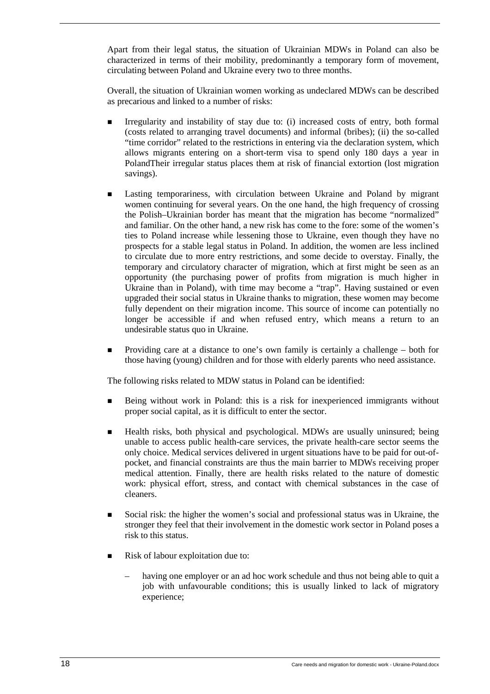Apart from their legal status, the situation of Ukrainian MDWs in Poland can also be characterized in terms of their mobility, predominantly a temporary form of movement, circulating between Poland and Ukraine every two to three months.

Overall, the situation of Ukrainian women working as undeclared MDWs can be described as precarious and linked to a number of risks:

- Irregularity and instability of stay due to: (i) increased costs of entry, both formal (costs related to arranging travel documents) and informal (bribes); (ii) the so-called "time corridor" related to the restrictions in entering via the declaration system, which allows migrants entering on a short-term visa to spend only 180 days a year in PolandTheir irregular status places them at risk of financial extortion (lost migration savings).
- Lasting temporariness, with circulation between Ukraine and Poland by migrant women continuing for several years. On the one hand, the high frequency of crossing the Polish–Ukrainian border has meant that the migration has become "normalized" and familiar. On the other hand, a new risk has come to the fore: some of the women's ties to Poland increase while lessening those to Ukraine, even though they have no prospects for a stable legal status in Poland. In addition, the women are less inclined to circulate due to more entry restrictions, and some decide to overstay. Finally, the temporary and circulatory character of migration, which at first might be seen as an opportunity (the purchasing power of profits from migration is much higher in Ukraine than in Poland), with time may become a "trap". Having sustained or even upgraded their social status in Ukraine thanks to migration, these women may become fully dependent on their migration income. This source of income can potentially no longer be accessible if and when refused entry, which means a return to an undesirable status quo in Ukraine.
- Providing care at a distance to one's own family is certainly a challenge both for those having (young) children and for those with elderly parents who need assistance.

The following risks related to MDW status in Poland can be identified:

- Being without work in Poland: this is a risk for inexperienced immigrants without proper social capital, as it is difficult to enter the sector.
- Health risks, both physical and psychological. MDWs are usually uninsured; being unable to access public health-care services, the private health-care sector seems the only choice. Medical services delivered in urgent situations have to be paid for out-ofpocket, and financial constraints are thus the main barrier to MDWs receiving proper medical attention. Finally, there are health risks related to the nature of domestic work: physical effort, stress, and contact with chemical substances in the case of cleaners.
- Social risk: the higher the women's social and professional status was in Ukraine, the stronger they feel that their involvement in the domestic work sector in Poland poses a risk to this status.
- Risk of labour exploitation due to:
	- having one employer or an ad hoc work schedule and thus not being able to quit a job with unfavourable conditions; this is usually linked to lack of migratory experience;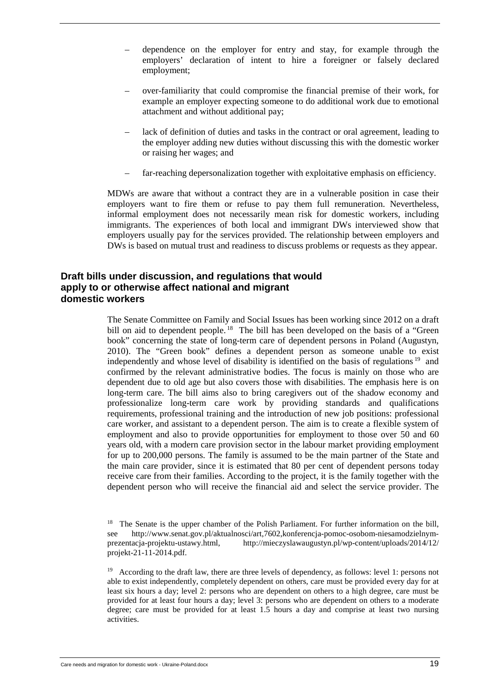- dependence on the employer for entry and stay, for example through the employers' declaration of intent to hire a foreigner or falsely declared employment;
- over-familiarity that could compromise the financial premise of their work, for example an employer expecting someone to do additional work due to emotional attachment and without additional pay;
- lack of definition of duties and tasks in the contract or oral agreement, leading to the employer adding new duties without discussing this with the domestic worker or raising her wages; and
- far-reaching depersonalization together with exploitative emphasis on efficiency.

MDWs are aware that without a contract they are in a vulnerable position in case their employers want to fire them or refuse to pay them full remuneration. Nevertheless, informal employment does not necessarily mean risk for domestic workers, including immigrants. The experiences of both local and immigrant DWs interviewed show that employers usually pay for the services provided. The relationship between employers and DWs is based on mutual trust and readiness to discuss problems or requests as they appear.

#### **Draft bills under discussion, and regulations that would apply to or otherwise affect national and migrant domestic workers**

The Senate Committee on Family and Social Issues has been working since 2012 on a draft bill on aid to dependent people.<sup>18</sup> The bill has been developed on the basis of a "Green" book" concerning the state of long-term care of dependent persons in Poland (Augustyn, 2010). The "Green book" defines a dependent person as someone unable to exist independently and whose level of disability is identified on the basis of regulations<sup>19</sup> and confirmed by the relevant administrative bodies. The focus is mainly on those who are dependent due to old age but also covers those with disabilities. The emphasis here is on long-term care. The bill aims also to bring caregivers out of the shadow economy and professionalize long-term care work by providing standards and qualifications requirements, professional training and the introduction of new job positions: professional care worker, and assistant to a dependent person. The aim is to create a flexible system of employment and also to provide opportunities for employment to those over 50 and 60 years old, with a modern care provision sector in the labour market providing employment for up to 200,000 persons. The family is assumed to be the main partner of the State and the main care provider, since it is estimated that 80 per cent of dependent persons today receive care from their families. According to the project, it is the family together with the dependent person who will receive the financial aid and select the service provider. The

<sup>19</sup> According to the draft law, there are three levels of dependency, as follows: level 1: persons not able to exist independently, completely dependent on others, care must be provided every day for at least six hours a day; level 2: persons who are dependent on others to a high degree, care must be provided for at least four hours a day; level 3: persons who are dependent on others to a moderate degree; care must be provided for at least 1.5 hours a day and comprise at least two nursing activities.

<sup>&</sup>lt;sup>18</sup> The Senate is the upper chamber of the Polish Parliament. For further information on the bill, see http://www.senat.gov.pl/aktualnosci/art,7602,konferencja-pomoc-osobom-niesamodzielnymprezentacja-projektu-ustawy.html, http://mieczyslawaugustyn.pl/wp-content/uploads/2014/12/ projekt-21-11-2014.pdf.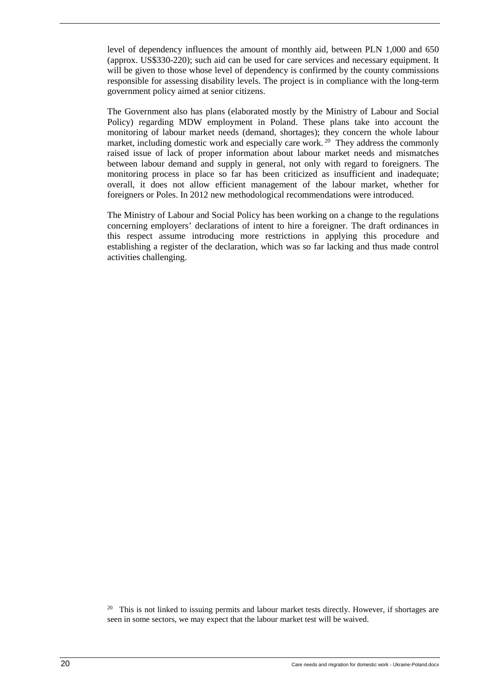level of dependency influences the amount of monthly aid, between PLN 1,000 and 650 (approx. US\$330-220); such aid can be used for care services and necessary equipment. It will be given to those whose level of dependency is confirmed by the county commissions responsible for assessing disability levels. The project is in compliance with the long-term government policy aimed at senior citizens.

The Government also has plans (elaborated mostly by the Ministry of Labour and Social Policy) regarding MDW employment in Poland. These plans take into account the monitoring of labour market needs (demand, shortages); they concern the whole labour market, including domestic work and especially care work.<sup>20</sup> They address the commonly raised issue of lack of proper information about labour market needs and mismatches between labour demand and supply in general, not only with regard to foreigners. The monitoring process in place so far has been criticized as insufficient and inadequate; overall, it does not allow efficient management of the labour market, whether for foreigners or Poles. In 2012 new methodological recommendations were introduced.

The Ministry of Labour and Social Policy has been working on a change to the regulations concerning employers' declarations of intent to hire a foreigner. The draft ordinances in this respect assume introducing more restrictions in applying this procedure and establishing a register of the declaration, which was so far lacking and thus made control activities challenging.

 $20$  This is not linked to issuing permits and labour market tests directly. However, if shortages are seen in some sectors, we may expect that the labour market test will be waived.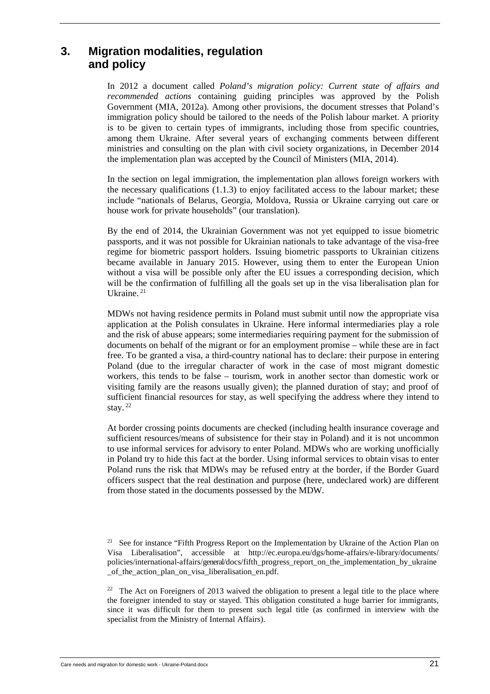## **3. Migration modalities, regulation and policy**

In 2012 a document called *Poland's migration policy: Current state of affairs and recommended actions* containing guiding principles was approved by the Polish Government (MIA, 2012a). Among other provisions, the document stresses that Poland's immigration policy should be tailored to the needs of the Polish labour market. A priority is to be given to certain types of immigrants, including those from specific countries, among them Ukraine. After several years of exchanging comments between different ministries and consulting on the plan with civil society organizations, in December 2014 the implementation plan was accepted by the Council of Ministers (MIA, 2014).

In the section on legal immigration, the implementation plan allows foreign workers with the necessary qualifications (1.1.3) to enjoy facilitated access to the labour market; these include "nationals of Belarus, Georgia, Moldova, Russia or Ukraine carrying out care or house work for private households" (our translation).

By the end of 2014, the Ukrainian Government was not yet equipped to issue biometric passports, and it was not possible for Ukrainian nationals to take advantage of the visa-free regime for biometric passport holders. Issuing biometric passports to Ukrainian citizens became available in January 2015. However, using them to enter the European Union without a visa will be possible only after the EU issues a corresponding decision, which will be the confirmation of fulfilling all the goals set up in the visa liberalisation plan for Ukraine.<sup>21</sup>

MDWs not having residence permits in Poland must submit until now the appropriate visa application at the Polish consulates in Ukraine. Here informal intermediaries play a role and the risk of abuse appears; some intermediaries requiring payment for the submission of documents on behalf of the migrant or for an employment promise – while these are in fact free. To be granted a visa, a third-country national has to declare: their purpose in entering Poland (due to the irregular character of work in the case of most migrant domestic workers, this tends to be false – tourism, work in another sector than domestic work or visiting family are the reasons usually given); the planned duration of stay; and proof of sufficient financial resources for stay, as well specifying the address where they intend to stay. $22$ 

At border crossing points documents are checked (including health insurance coverage and sufficient resources/means of subsistence for their stay in Poland) and it is not uncommon to use informal services for advisory to enter Poland. MDWs who are working unofficially in Poland try to hide this fact at the border. Using informal services to obtain visas to enter Poland runs the risk that MDWs may be refused entry at the border, if the Border Guard officers suspect that the real destination and purpose (here, undeclared work) are different from those stated in the documents possessed by the MDW.

<sup>22</sup> The Act on Foreigners of 2013 waived the obligation to present a legal title to the place where the foreigner intended to stay or stayed. This obligation constituted a huge barrier for immigrants, since it was difficult for them to present such legal title (as confirmed in interview with the specialist from the Ministry of Internal Affairs).

<sup>&</sup>lt;sup>21</sup> See for instance "Fifth Progress Report on the Implementation by Ukraine of the Action Plan on Visa Liberalisation", accessible at http://ec.europa.eu/dgs/home-affairs/e-library/documents/ policies/international-affairs/general/docs/fifth\_progress\_report\_on\_the\_implementation\_by\_ukraine \_of\_the\_action\_plan\_on\_visa\_liberalisation\_en.pdf.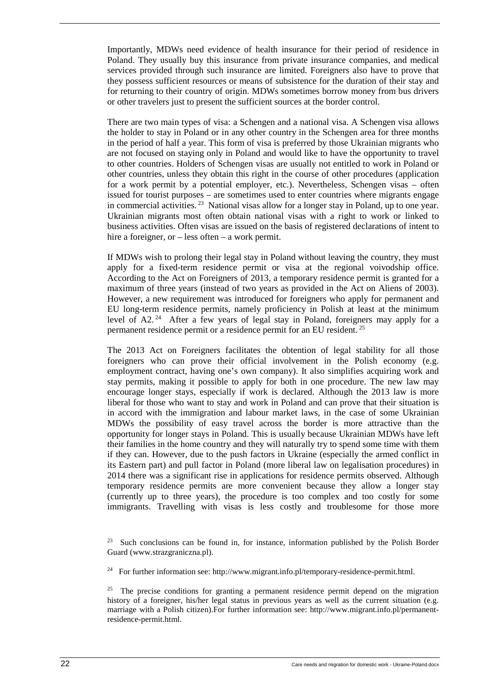Importantly, MDWs need evidence of health insurance for their period of residence in Poland. They usually buy this insurance from private insurance companies, and medical services provided through such insurance are limited. Foreigners also have to prove that they possess sufficient resources or means of subsistence for the duration of their stay and for returning to their country of origin. MDWs sometimes borrow money from bus drivers or other travelers just to present the sufficient sources at the border control.

There are two main types of visa: a Schengen and a national visa. A Schengen visa allows the holder to stay in Poland or in any other country in the Schengen area for three months in the period of half a year. This form of visa is preferred by those Ukrainian migrants who are not focused on staying only in Poland and would like to have the opportunity to travel to other countries. Holders of Schengen visas are usually not entitled to work in Poland or other countries, unless they obtain this right in the course of other procedures (application for a work permit by a potential employer, etc.). Nevertheless, Schengen visas – often issued for tourist purposes – are sometimes used to enter countries where migrants engage in commercial activities.<sup>23</sup> National visas allow for a longer stay in Poland, up to one year. Ukrainian migrants most often obtain national visas with a right to work or linked to business activities. Often visas are issued on the basis of registered declarations of intent to hire a foreigner, or – less often – a work permit.

If MDWs wish to prolong their legal stay in Poland without leaving the country, they must apply for a fixed-term residence permit or visa at the regional voivodship office. According to the Act on Foreigners of 2013, a temporary residence permit is granted for a maximum of three years (instead of two years as provided in the Act on Aliens of 2003). However, a new requirement was introduced for foreigners who apply for permanent and EU long-term residence permits, namely proficiency in Polish at least at the minimum level of A2.<sup>24</sup> After a few years of legal stay in Poland, foreigners may apply for a permanent residence permit or a residence permit for an EU resident.<sup>25</sup>

The 2013 Act on Foreigners facilitates the obtention of legal stability for all those foreigners who can prove their official involvement in the Polish economy (e.g. employment contract, having one's own company). It also simplifies acquiring work and stay permits, making it possible to apply for both in one procedure. The new law may encourage longer stays, especially if work is declared. Although the 2013 law is more liberal for those who want to stay and work in Poland and can prove that their situation is in accord with the immigration and labour market laws, in the case of some Ukrainian MDWs the possibility of easy travel across the border is more attractive than the opportunity for longer stays in Poland. This is usually because Ukrainian MDWs have left their families in the home country and they will naturally try to spend some time with them if they can. However, due to the push factors in Ukraine (especially the armed conflict in its Eastern part) and pull factor in Poland (more liberal law on legalisation procedures) in 2014 there was a significant rise in applications for residence permits observed. Although temporary residence permits are more convenient because they allow a longer stay (currently up to three years), the procedure is too complex and too costly for some immigrants. Travelling with visas is less costly and troublesome for those more

<sup>&</sup>lt;sup>23</sup> Such conclusions can be found in, for instance, information published by the Polish Border Guard (www.strazgraniczna.pl).

<sup>&</sup>lt;sup>24</sup> For further information see: http://www.migrant.info.pl/temporary-residence-permit.html.

<sup>&</sup>lt;sup>25</sup> The precise conditions for granting a permanent residence permit depend on the migration history of a foreigner, his/her legal status in previous years as well as the current situation (e.g. marriage with a Polish citizen).For further information see: http://www.migrant.info.pl/permanentresidence-permit.html.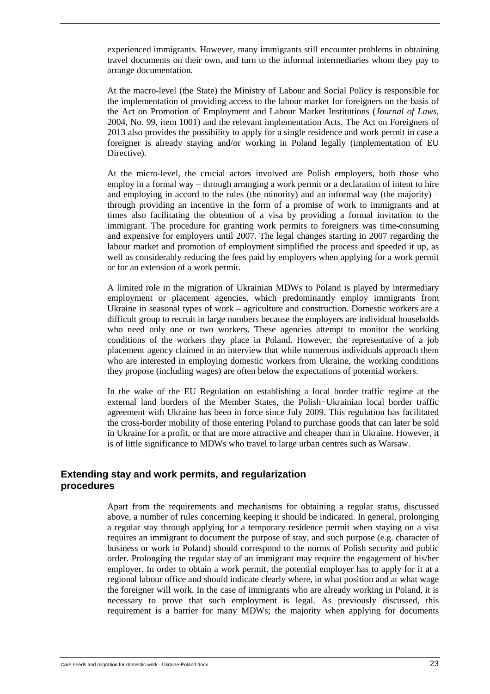experienced immigrants. However, many immigrants still encounter problems in obtaining travel documents on their own, and turn to the informal intermediaries whom they pay to arrange documentation.

At the macro-level (the State) the Ministry of Labour and Social Policy is responsible for the implementation of providing access to the labour market for foreigners on the basis of the Act on Promotion of Employment and Labour Market Institutions (*Journal of Laws*, 2004, No. 99, item 1001) and the relevant implementation Acts. The Act on Foreigners of 2013 also provides the possibility to apply for a single residence and work permit in case a foreigner is already staying and/or working in Poland legally (implementation of EU Directive).

At the micro-level, the crucial actors involved are Polish employers, both those who employ in a formal way – through arranging a work permit or a declaration of intent to hire and employing in accord to the rules (the minority) and an informal way (the majority) – through providing an incentive in the form of a promise of work to immigrants and at times also facilitating the obtention of a visa by providing a formal invitation to the immigrant. The procedure for granting work permits to foreigners was time-consuming and expensive for employers until 2007. The legal changes starting in 2007 regarding the labour market and promotion of employment simplified the process and speeded it up, as well as considerably reducing the fees paid by employers when applying for a work permit or for an extension of a work permit.

A limited role in the migration of Ukrainian MDWs to Poland is played by intermediary employment or placement agencies, which predominantly employ immigrants from Ukraine in seasonal types of work – agriculture and construction. Domestic workers are a difficult group to recruit in large numbers because the employers are individual households who need only one or two workers. These agencies attempt to monitor the working conditions of the workers they place in Poland. However, the representative of a job placement agency claimed in an interview that while numerous individuals approach them who are interested in employing domestic workers from Ukraine, the working conditions they propose (including wages) are often below the expectations of potential workers.

In the wake of the EU Regulation on establishing a local border traffic regime at the external land borders of the Member States, the Polish−Ukrainian local border traffic agreement with Ukraine has been in force since July 2009. This regulation has facilitated the cross-border mobility of those entering Poland to purchase goods that can later be sold in Ukraine for a profit, or that are more attractive and cheaper than in Ukraine. However, it is of little significance to MDWs who travel to large urban centres such as Warsaw.

#### **Extending stay and work permits, and regularization procedures**

Apart from the requirements and mechanisms for obtaining a regular status, discussed above, a number of rules concerning keeping it should be indicated. In general, prolonging a regular stay through applying for a temporary residence permit when staying on a visa requires an immigrant to document the purpose of stay, and such purpose (e.g. character of business or work in Poland) should correspond to the norms of Polish security and public order. Prolonging the regular stay of an immigrant may require the engagement of his/her employer. In order to obtain a work permit, the potential employer has to apply for it at a regional labour office and should indicate clearly where, in what position and at what wage the foreigner will work. In the case of immigrants who are already working in Poland, it is necessary to prove that such employment is legal. As previously discussed, this requirement is a barrier for many MDWs; the majority when applying for documents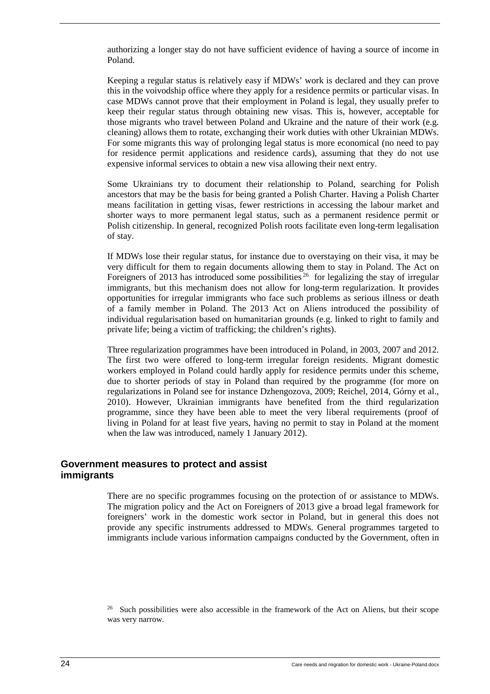authorizing a longer stay do not have sufficient evidence of having a source of income in Poland.

Keeping a regular status is relatively easy if MDWs' work is declared and they can prove this in the voivodship office where they apply for a residence permits or particular visas. In case MDWs cannot prove that their employment in Poland is legal, they usually prefer to keep their regular status through obtaining new visas. This is, however, acceptable for those migrants who travel between Poland and Ukraine and the nature of their work (e.g. cleaning) allows them to rotate, exchanging their work duties with other Ukrainian MDWs. For some migrants this way of prolonging legal status is more economical (no need to pay for residence permit applications and residence cards), assuming that they do not use expensive informal services to obtain a new visa allowing their next entry.

Some Ukrainians try to document their relationship to Poland, searching for Polish ancestors that may be the basis for being granted a Polish Charter. Having a Polish Charter means facilitation in getting visas, fewer restrictions in accessing the labour market and shorter ways to more permanent legal status, such as a permanent residence permit or Polish citizenship. In general, recognized Polish roots facilitate even long-term legalisation of stay.

If MDWs lose their regular status, for instance due to overstaying on their visa, it may be very difficult for them to regain documents allowing them to stay in Poland. The Act on Foreigners of 2013 has introduced some possibilities<sup>26</sup> for legalizing the stay of irregular immigrants, but this mechanism does not allow for long-term regularization. It provides opportunities for irregular immigrants who face such problems as serious illness or death of a family member in Poland. The 2013 Act on Aliens introduced the possibility of individual regularisation based on humanitarian grounds (e.g. linked to right to family and private life; being a victim of trafficking; the children's rights).

Three regularization programmes have been introduced in Poland, in 2003, 2007 and 2012. The first two were offered to long-term irregular foreign residents. Migrant domestic workers employed in Poland could hardly apply for residence permits under this scheme, due to shorter periods of stay in Poland than required by the programme (for more on regularizations in Poland see for instance Dzhengozova, 2009; Reichel, 2014, Górny et al., 2010). However, Ukrainian immigrants have benefited from the third regularization programme, since they have been able to meet the very liberal requirements (proof of living in Poland for at least five years, having no permit to stay in Poland at the moment when the law was introduced, namely 1 January 2012).

#### **Government measures to protect and assist immigrants**

There are no specific programmes focusing on the protection of or assistance to MDWs. The migration policy and the Act on Foreigners of 2013 give a broad legal framework for foreigners' work in the domestic work sector in Poland, but in general this does not provide any specific instruments addressed to MDWs. General programmes targeted to immigrants include various information campaigns conducted by the Government, often in

<sup>26</sup> Such possibilities were also accessible in the framework of the Act on Aliens, but their scope was very narrow.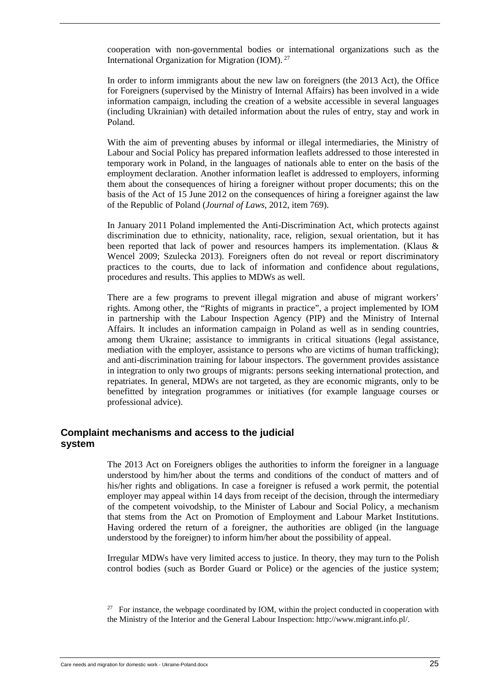cooperation with non-governmental bodies or international organizations such as the International Organization for Migration (IOM).<sup>27</sup>

In order to inform immigrants about the new law on foreigners (the 2013 Act), the Office for Foreigners (supervised by the Ministry of Internal Affairs) has been involved in a wide information campaign, including the creation of a website accessible in several languages (including Ukrainian) with detailed information about the rules of entry, stay and work in Poland.

With the aim of preventing abuses by informal or illegal intermediaries, the Ministry of Labour and Social Policy has prepared information leaflets addressed to those interested in temporary work in Poland, in the languages of nationals able to enter on the basis of the employment declaration. Another information leaflet is addressed to employers, informing them about the consequences of hiring a foreigner without proper documents; this on the basis of the Act of 15 June 2012 on the consequences of hiring a foreigner against the law of the Republic of Poland (*Journal of Laws*, 2012, item 769).

In January 2011 Poland implemented the Anti-Discrimination Act, which protects against discrimination due to ethnicity, nationality, race, religion, sexual orientation, but it has been reported that lack of power and resources hampers its implementation. (Klaus & Wencel 2009; Szulecka 2013). Foreigners often do not reveal or report discriminatory practices to the courts, due to lack of information and confidence about regulations, procedures and results. This applies to MDWs as well.

There are a few programs to prevent illegal migration and abuse of migrant workers' rights. Among other, the "Rights of migrants in practice", a project implemented by IOM in partnership with the Labour Inspection Agency (PIP) and the Ministry of Internal Affairs. It includes an information campaign in Poland as well as in sending countries, among them Ukraine; assistance to immigrants in critical situations (legal assistance, mediation with the employer, assistance to persons who are victims of human trafficking); and anti-discrimination training for labour inspectors. The government provides assistance in integration to only two groups of migrants: persons seeking international protection, and repatriates. In general, MDWs are not targeted, as they are economic migrants, only to be benefitted by integration programmes or initiatives (for example language courses or professional advice).

#### **Complaint mechanisms and access to the judicial system**

The 2013 Act on Foreigners obliges the authorities to inform the foreigner in a language understood by him/her about the terms and conditions of the conduct of matters and of his/her rights and obligations. In case a foreigner is refused a work permit, the potential employer may appeal within 14 days from receipt of the decision, through the intermediary of the competent voivodship, to the Minister of Labour and Social Policy, a mechanism that stems from the Act on Promotion of Employment and Labour Market Institutions. Having ordered the return of a foreigner, the authorities are obliged (in the language understood by the foreigner) to inform him/her about the possibility of appeal.

Irregular MDWs have very limited access to justice. In theory, they may turn to the Polish control bodies (such as Border Guard or Police) or the agencies of the justice system;

Care needs and migration for domestic work - Ukraine-Poland.docx 25

<sup>&</sup>lt;sup>27</sup> For instance, the webpage coordinated by IOM, within the project conducted in cooperation with the Ministry of the Interior and the General Labour Inspection: http://www.migrant.info.pl/.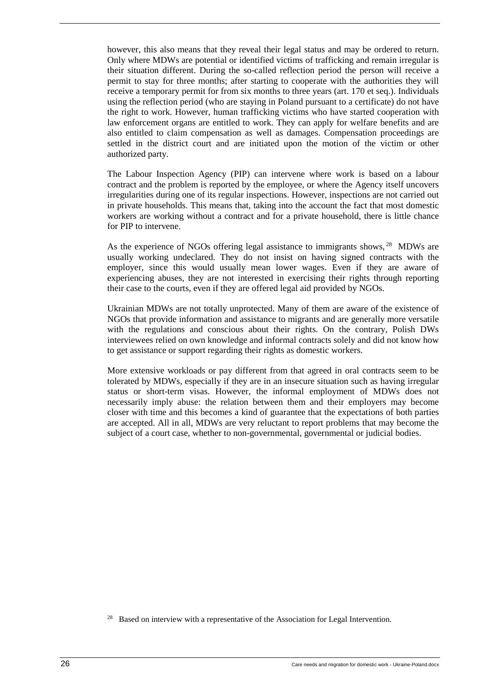however, this also means that they reveal their legal status and may be ordered to return. Only where MDWs are potential or identified victims of trafficking and remain irregular is their situation different. During the so-called reflection period the person will receive a permit to stay for three months; after starting to cooperate with the authorities they will receive a temporary permit for from six months to three years (art. 170 et seq.). Individuals using the reflection period (who are staying in Poland pursuant to a certificate) do not have the right to work. However, human trafficking victims who have started cooperation with law enforcement organs are entitled to work. They can apply for welfare benefits and are also entitled to claim compensation as well as damages. Compensation proceedings are settled in the district court and are initiated upon the motion of the victim or other authorized party.

The Labour Inspection Agency (PIP) can intervene where work is based on a labour contract and the problem is reported by the employee, or where the Agency itself uncovers irregularities during one of its regular inspections. However, inspections are not carried out in private households. This means that, taking into the account the fact that most domestic workers are working without a contract and for a private household, there is little chance for PIP to intervene.

As the experience of NGOs offering legal assistance to immigrants shows,  $28$  MDWs are usually working undeclared. They do not insist on having signed contracts with the employer, since this would usually mean lower wages. Even if they are aware of experiencing abuses, they are not interested in exercising their rights through reporting their case to the courts, even if they are offered legal aid provided by NGOs.

Ukrainian MDWs are not totally unprotected. Many of them are aware of the existence of NGOs that provide information and assistance to migrants and are generally more versatile with the regulations and conscious about their rights. On the contrary, Polish DWs interviewees relied on own knowledge and informal contracts solely and did not know how to get assistance or support regarding their rights as domestic workers.

More extensive workloads or pay different from that agreed in oral contracts seem to be tolerated by MDWs, especially if they are in an insecure situation such as having irregular status or short-term visas. However, the informal employment of MDWs does not necessarily imply abuse: the relation between them and their employers may become closer with time and this becomes a kind of guarantee that the expectations of both parties are accepted. All in all, MDWs are very reluctant to report problems that may become the subject of a court case, whether to non-governmental, governmental or judicial bodies.

<sup>&</sup>lt;sup>28</sup> Based on interview with a representative of the Association for Legal Intervention.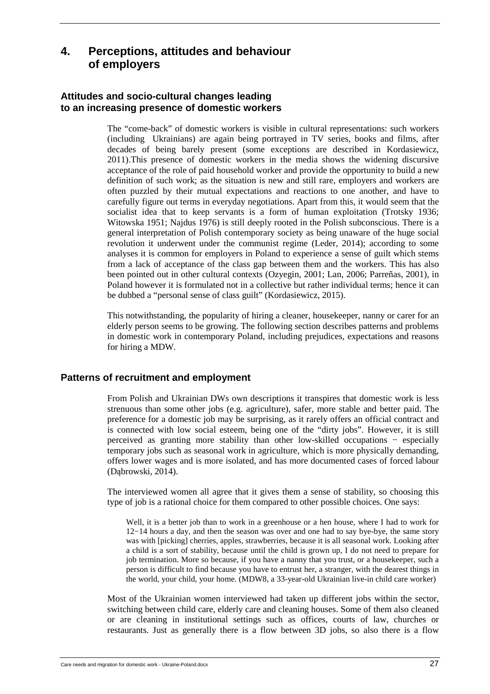## **4. Perceptions, attitudes and behaviour of employers**

#### **Attitudes and socio-cultural changes leading to an increasing presence of domestic workers**

The "come-back" of domestic workers is visible in cultural representations: such workers (including Ukrainians) are again being portrayed in TV series, books and films, after decades of being barely present (some exceptions are described in Kordasiewicz, 2011).This presence of domestic workers in the media shows the widening discursive acceptance of the role of paid household worker and provide the opportunity to build a new definition of such work; as the situation is new and still rare, employers and workers are often puzzled by their mutual expectations and reactions to one another, and have to carefully figure out terms in everyday negotiations. Apart from this, it would seem that the socialist idea that to keep servants is a form of human exploitation (Trotsky 1936; Witowska 1951; Najdus 1976) is still deeply rooted in the Polish subconscious. There is a general interpretation of Polish contemporary society as being unaware of the huge social revolution it underwent under the communist regime (Leder, 2014); according to some analyses it is common for employers in Poland to experience a sense of guilt which stems from a lack of acceptance of the class gap between them and the workers. This has also been pointed out in other cultural contexts (Ozyegin, 2001; Lan, 2006; Parreñas, 2001), in Poland however it is formulated not in a collective but rather individual terms; hence it can be dubbed a "personal sense of class guilt" (Kordasiewicz, 2015).

This notwithstanding, the popularity of hiring a cleaner, housekeeper, nanny or carer for an elderly person seems to be growing. The following section describes patterns and problems in domestic work in contemporary Poland, including prejudices, expectations and reasons for hiring a MDW.

#### **Patterns of recruitment and employment**

From Polish and Ukrainian DWs own descriptions it transpires that domestic work is less strenuous than some other jobs (e.g. agriculture), safer, more stable and better paid. The preference for a domestic job may be surprising, as it rarely offers an official contract and is connected with low social esteem, being one of the "dirty jobs". However, it is still perceived as granting more stability than other low-skilled occupations − especially temporary jobs such as seasonal work in agriculture, which is more physically demanding, offers lower wages and is more isolated, and has more documented cases of forced labour (Dąbrowski, 2014).

The interviewed women all agree that it gives them a sense of stability, so choosing this type of job is a rational choice for them compared to other possible choices. One says:

Well, it is a better job than to work in a greenhouse or a hen house, where I had to work for 12−14 hours a day, and then the season was over and one had to say bye-bye, the same story was with [picking] cherries, apples, strawberries, because it is all seasonal work. Looking after a child is a sort of stability, because until the child is grown up, I do not need to prepare for job termination. More so because, if you have a nanny that you trust, or a housekeeper, such a person is difficult to find because you have to entrust her, a stranger, with the dearest things in the world, your child, your home. (MDW8, a 33-year-old Ukrainian live-in child care worker)

Most of the Ukrainian women interviewed had taken up different jobs within the sector, switching between child care, elderly care and cleaning houses. Some of them also cleaned or are cleaning in institutional settings such as offices, courts of law, churches or restaurants. Just as generally there is a flow between 3D jobs, so also there is a flow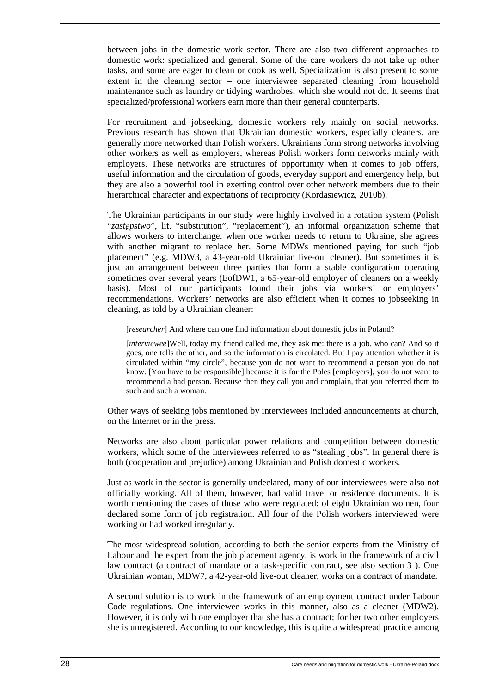between jobs in the domestic work sector. There are also two different approaches to domestic work: specialized and general. Some of the care workers do not take up other tasks, and some are eager to clean or cook as well. Specialization is also present to some extent in the cleaning sector – one interviewee separated cleaning from household maintenance such as laundry or tidying wardrobes, which she would not do. It seems that specialized/professional workers earn more than their general counterparts.

For recruitment and jobseeking, domestic workers rely mainly on social networks. Previous research has shown that Ukrainian domestic workers, especially cleaners, are generally more networked than Polish workers. Ukrainians form strong networks involving other workers as well as employers, whereas Polish workers form networks mainly with employers. These networks are structures of opportunity when it comes to job offers, useful information and the circulation of goods, everyday support and emergency help, but they are also a powerful tool in exerting control over other network members due to their hierarchical character and expectations of reciprocity (Kordasiewicz, 2010b).

The Ukrainian participants in our study were highly involved in a rotation system (Polish "*zastępstwo*", lit. "substitution", "replacement"), an informal organization scheme that allows workers to interchange: when one worker needs to return to Ukraine, she agrees with another migrant to replace her. Some MDWs mentioned paying for such "job placement" (e.g. MDW3, a 43-year-old Ukrainian live-out cleaner). But sometimes it is just an arrangement between three parties that form a stable configuration operating sometimes over several years (EofDW1, a 65-year-old employer of cleaners on a weekly basis). Most of our participants found their jobs via workers' or employers' recommendations. Workers' networks are also efficient when it comes to jobseeking in cleaning, as told by a Ukrainian cleaner:

[*researcher*] And where can one find information about domestic jobs in Poland?

[*interviewee*]Well, today my friend called me, they ask me: there is a job, who can? And so it goes, one tells the other, and so the information is circulated. But I pay attention whether it is circulated within "my circle", because you do not want to recommend a person you do not know. [You have to be responsible] because it is for the Poles [employers], you do not want to recommend a bad person. Because then they call you and complain, that you referred them to such and such a woman.

Other ways of seeking jobs mentioned by interviewees included announcements at church, on the Internet or in the press.

Networks are also about particular power relations and competition between domestic workers, which some of the interviewees referred to as "stealing jobs". In general there is both (cooperation and prejudice) among Ukrainian and Polish domestic workers.

Just as work in the sector is generally undeclared, many of our interviewees were also not officially working. All of them, however, had valid travel or residence documents. It is worth mentioning the cases of those who were regulated: of eight Ukrainian women, four declared some form of job registration. All four of the Polish workers interviewed were working or had worked irregularly.

The most widespread solution, according to both the senior experts from the Ministry of Labour and the expert from the job placement agency, is work in the framework of a civil law contract (a contract of mandate or a task-specific contract, see also section 3 ). One Ukrainian woman, MDW7, a 42-year-old live-out cleaner, works on a contract of mandate.

A second solution is to work in the framework of an employment contract under Labour Code regulations. One interviewee works in this manner, also as a cleaner (MDW2). However, it is only with one employer that she has a contract; for her two other employers she is unregistered. According to our knowledge, this is quite a widespread practice among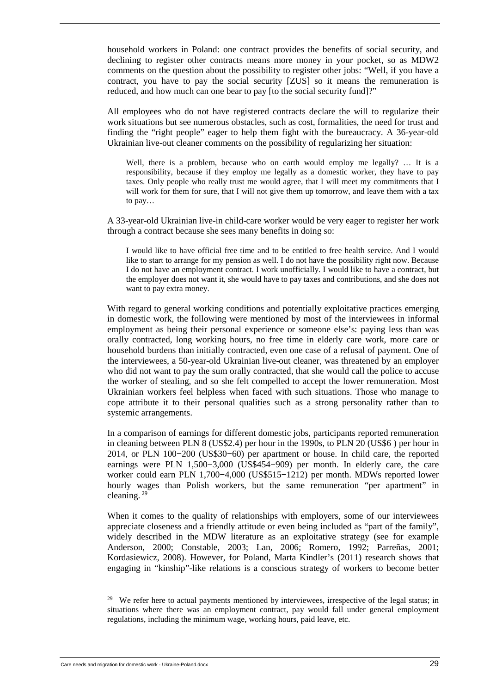household workers in Poland: one contract provides the benefits of social security, and declining to register other contracts means more money in your pocket, so as MDW2 comments on the question about the possibility to register other jobs: "Well, if you have a contract, you have to pay the social security [ZUS] so it means the remuneration is reduced, and how much can one bear to pay [to the social security fund]?"

All employees who do not have registered contracts declare the will to regularize their work situations but see numerous obstacles, such as cost, formalities, the need for trust and finding the "right people" eager to help them fight with the bureaucracy. A 36-year-old Ukrainian live-out cleaner comments on the possibility of regularizing her situation:

Well, there is a problem, because who on earth would employ me legally? … It is a responsibility, because if they employ me legally as a domestic worker, they have to pay taxes. Only people who really trust me would agree, that I will meet my commitments that I will work for them for sure, that I will not give them up tomorrow, and leave them with a tax to pay…

A 33-year-old Ukrainian live-in child-care worker would be very eager to register her work through a contract because she sees many benefits in doing so:

I would like to have official free time and to be entitled to free health service. And I would like to start to arrange for my pension as well. I do not have the possibility right now. Because I do not have an employment contract. I work unofficially. I would like to have a contract, but the employer does not want it, she would have to pay taxes and contributions, and she does not want to pay extra money.

With regard to general working conditions and potentially exploitative practices emerging in domestic work, the following were mentioned by most of the interviewees in informal employment as being their personal experience or someone else's: paying less than was orally contracted, long working hours, no free time in elderly care work, more care or household burdens than initially contracted, even one case of a refusal of payment. One of the interviewees, a 50-year-old Ukrainian live-out cleaner, was threatened by an employer who did not want to pay the sum orally contracted, that she would call the police to accuse the worker of stealing, and so she felt compelled to accept the lower remuneration. Most Ukrainian workers feel helpless when faced with such situations. Those who manage to cope attribute it to their personal qualities such as a strong personality rather than to systemic arrangements.

In a comparison of earnings for different domestic jobs, participants reported remuneration in cleaning between PLN 8 (US\$2.4) per hour in the 1990s, to PLN 20 (US\$6 ) per hour in 2014, or PLN 100−200 (US\$30−60) per apartment or house. In child care, the reported earnings were PLN 1,500−3,000 (US\$454−909) per month. In elderly care, the care worker could earn PLN 1,700−4,000 (US\$515−1212) per month. MDWs reported lower hourly wages than Polish workers, but the same remuneration "per apartment" in cleaning.<sup>29</sup>

When it comes to the quality of relationships with employers, some of our interviewees appreciate closeness and a friendly attitude or even being included as "part of the family", widely described in the MDW literature as an exploitative strategy (see for example Anderson, 2000; Constable, 2003; Lan, 2006; Romero, 1992; Parreñas, 2001; Kordasiewicz, 2008). However, for Poland, Marta Kindler's (2011) research shows that engaging in "kinship"-like relations is a conscious strategy of workers to become better

<sup>&</sup>lt;sup>29</sup> We refer here to actual payments mentioned by interviewees, irrespective of the legal status; in situations where there was an employment contract, pay would fall under general employment regulations, including the minimum wage, working hours, paid leave, etc.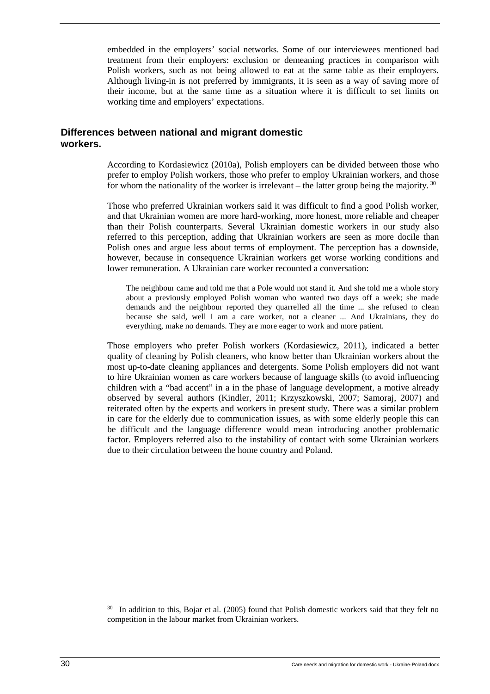embedded in the employers' social networks. Some of our interviewees mentioned bad treatment from their employers: exclusion or demeaning practices in comparison with Polish workers, such as not being allowed to eat at the same table as their employers. Although living-in is not preferred by immigrants, it is seen as a way of saving more of their income, but at the same time as a situation where it is difficult to set limits on working time and employers' expectations.

#### **Differences between national and migrant domestic workers.**

According to Kordasiewicz (2010a), Polish employers can be divided between those who prefer to employ Polish workers, those who prefer to employ Ukrainian workers, and those for whom the nationality of the worker is irrelevant – the latter group being the majority.<sup>30</sup>

Those who preferred Ukrainian workers said it was difficult to find a good Polish worker, and that Ukrainian women are more hard-working, more honest, more reliable and cheaper than their Polish counterparts. Several Ukrainian domestic workers in our study also referred to this perception, adding that Ukrainian workers are seen as more docile than Polish ones and argue less about terms of employment. The perception has a downside, however, because in consequence Ukrainian workers get worse working conditions and lower remuneration. A Ukrainian care worker recounted a conversation:

The neighbour came and told me that a Pole would not stand it. And she told me a whole story about a previously employed Polish woman who wanted two days off a week; she made demands and the neighbour reported they quarrelled all the time ... she refused to clean because she said, well I am a care worker, not a cleaner ... And Ukrainians, they do everything, make no demands. They are more eager to work and more patient.

Those employers who prefer Polish workers (Kordasiewicz, 2011), indicated a better quality of cleaning by Polish cleaners, who know better than Ukrainian workers about the most up-to-date cleaning appliances and detergents. Some Polish employers did not want to hire Ukrainian women as care workers because of language skills (to avoid influencing children with a "bad accent" in a in the phase of language development, a motive already observed by several authors (Kindler, 2011; Krzyszkowski, 2007; Samoraj, 2007) and reiterated often by the experts and workers in present study. There was a similar problem in care for the elderly due to communication issues, as with some elderly people this can be difficult and the language difference would mean introducing another problematic factor. Employers referred also to the instability of contact with some Ukrainian workers due to their circulation between the home country and Poland.

<sup>30</sup> In addition to this, Bojar et al. (2005) found that Polish domestic workers said that they felt no competition in the labour market from Ukrainian workers.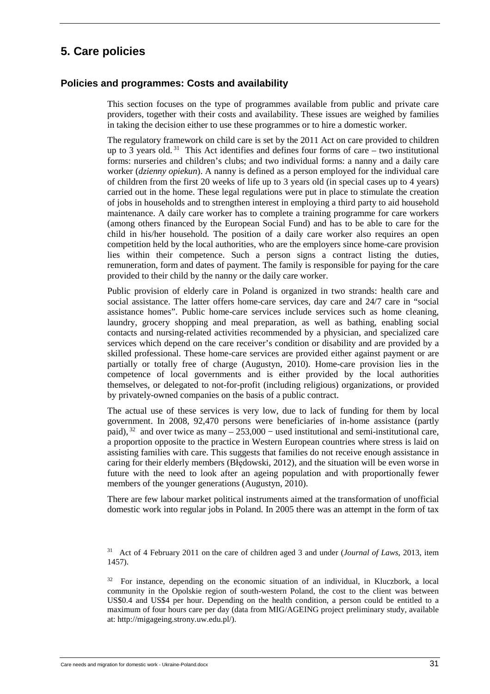## **5. Care policies**

#### **Policies and programmes: Costs and availability**

This section focuses on the type of programmes available from public and private care providers, together with their costs and availability. These issues are weighed by families in taking the decision either to use these programmes or to hire a domestic worker.

The regulatory framework on child care is set by the 2011 Act on care provided to children up to 3 years old.<sup>31</sup> This Act identifies and defines four forms of care – two institutional forms: nurseries and children's clubs; and two individual forms: a nanny and a daily care worker (*dzienny opiekun*). A nanny is defined as a person employed for the individual care of children from the first 20 weeks of life up to 3 years old (in special cases up to 4 years) carried out in the home. These legal regulations were put in place to stimulate the creation of jobs in households and to strengthen interest in employing a third party to aid household maintenance. A daily care worker has to complete a training programme for care workers (among others financed by the European Social Fund) and has to be able to care for the child in his/her household. The position of a daily care worker also requires an open competition held by the local authorities, who are the employers since home-care provision lies within their competence. Such a person signs a contract listing the duties, remuneration, form and dates of payment. The family is responsible for paying for the care provided to their child by the nanny or the daily care worker.

Public provision of elderly care in Poland is organized in two strands: health care and social assistance. The latter offers home-care services, day care and 24/7 care in "social assistance homes". Public home-care services include services such as home cleaning, laundry, grocery shopping and meal preparation, as well as bathing, enabling social contacts and nursing-related activities recommended by a physician, and specialized care services which depend on the care receiver's condition or disability and are provided by a skilled professional. These home-care services are provided either against payment or are partially or totally free of charge (Augustyn, 2010). Home-care provision lies in the competence of local governments and is either provided by the local authorities themselves, or delegated to not-for-profit (including religious) organizations, or provided by privately-owned companies on the basis of a public contract.

The actual use of these services is very low, due to lack of funding for them by local government. In 2008, 92,470 persons were beneficiaries of in-home assistance (partly paid),  $32$  and over twice as many – 253,000 – used institutional and semi-institutional care, a proportion opposite to the practice in Western European countries where stress is laid on assisting families with care. This suggests that families do not receive enough assistance in caring for their elderly members (Błędowski, 2012), and the situation will be even worse in future with the need to look after an ageing population and with proportionally fewer members of the younger generations (Augustyn, 2010).

There are few labour market political instruments aimed at the transformation of unofficial domestic work into regular jobs in Poland. In 2005 there was an attempt in the form of tax

<sup>31</sup> Act of 4 February 2011 on the care of children aged 3 and under (*Journal of Laws*, 2013, item 1457).

<sup>&</sup>lt;sup>32</sup> For instance, depending on the economic situation of an individual, in Kluczbork, a local community in the Opolskie region of south-western Poland, the cost to the client was between US\$0.4 and US\$4 per hour. Depending on the health condition, a person could be entitled to a maximum of four hours care per day (data from MIG/AGEING project preliminary study, available at: http://migageing.strony.uw.edu.pl/).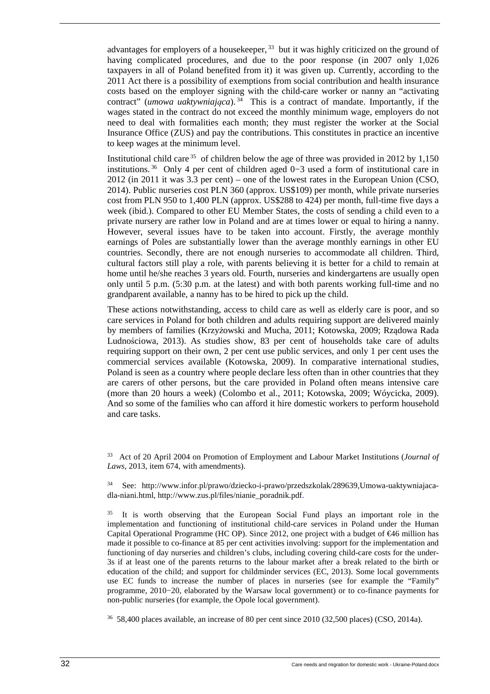advantages for employers of a housekeeper,  $33$  but it was highly criticized on the ground of having complicated procedures, and due to the poor response (in 2007 only 1,026 taxpayers in all of Poland benefited from it) it was given up. Currently, according to the 2011 Act there is a possibility of exemptions from social contribution and health insurance costs based on the employer signing with the child-care worker or nanny an "activating contract" (*umowa uaktywniająca*).<sup>34</sup> This is a contract of mandate. Importantly, if the wages stated in the contract do not exceed the monthly minimum wage, employers do not need to deal with formalities each month; they must register the worker at the Social Insurance Office (ZUS) and pay the contributions. This constitutes in practice an incentive to keep wages at the minimum level.

Institutional child care<sup>35</sup> of children below the age of three was provided in 2012 by 1,150 institutions.<sup>36</sup> Only 4 per cent of children aged 0−3 used a form of institutional care in 2012 (in 2011 it was 3.3 per cent) – one of the lowest rates in the European Union (CSO, 2014). Public nurseries cost PLN 360 (approx. US\$109) per month, while private nurseries cost from PLN 950 to 1,400 PLN (approx. US\$288 to 424) per month, full-time five days a week (ibid.). Compared to other EU Member States, the costs of sending a child even to a private nursery are rather low in Poland and are at times lower or equal to hiring a nanny. However, several issues have to be taken into account. Firstly, the average monthly earnings of Poles are substantially lower than the average monthly earnings in other EU countries. Secondly, there are not enough nurseries to accommodate all children. Third, cultural factors still play a role, with parents believing it is better for a child to remain at home until he/she reaches 3 years old. Fourth, nurseries and kindergartens are usually open only until 5 p.m. (5:30 p.m. at the latest) and with both parents working full-time and no grandparent available, a nanny has to be hired to pick up the child.

These actions notwithstanding, access to child care as well as elderly care is poor, and so care services in Poland for both children and adults requiring support are delivered mainly by members of families (Krzyżowski and Mucha, 2011; Kotowska, 2009; Rządowa Rada Ludnościowa, 2013). As studies show, 83 per cent of households take care of adults requiring support on their own, 2 per cent use public services, and only 1 per cent uses the commercial services available (Kotowska, 2009). In comparative international studies, Poland is seen as a country where people declare less often than in other countries that they are carers of other persons, but the care provided in Poland often means intensive care (more than 20 hours a week) (Colombo et al., 2011; Kotowska, 2009; Wóycicka, 2009). And so some of the families who can afford it hire domestic workers to perform household and care tasks.

<sup>33</sup> Act of 20 April 2004 on Promotion of Employment and Labour Market Institutions (*Journal of Laws*, 2013, item 674, with amendments).

34 See: http://www.infor.pl/prawo/dziecko-i-prawo/przedszkolak/289639,Umowa-uaktywniajacadla-niani.html, http://www.zus.pl/files/nianie\_poradnik.pdf.

<sup>35</sup> It is worth observing that the European Social Fund plays an important role in the implementation and functioning of institutional child-care services in Poland under the Human Capital Operational Programme (HC OP). Since 2012, one project with a budget of  $\epsilon$ 46 million has made it possible to co-finance at 85 per cent activities involving: support for the implementation and functioning of day nurseries and children's clubs, including covering child-care costs for the under-3s if at least one of the parents returns to the labour market after a break related to the birth or education of the child; and support for childminder services (EC, 2013). Some local governments use EC funds to increase the number of places in nurseries (see for example the "Family" programme, 2010−20, elaborated by the Warsaw local government) or to co-finance payments for non-public nurseries (for example, the Opole local government).

36 58,400 places available, an increase of 80 per cent since 2010 (32,500 places) (CSO, 2014a).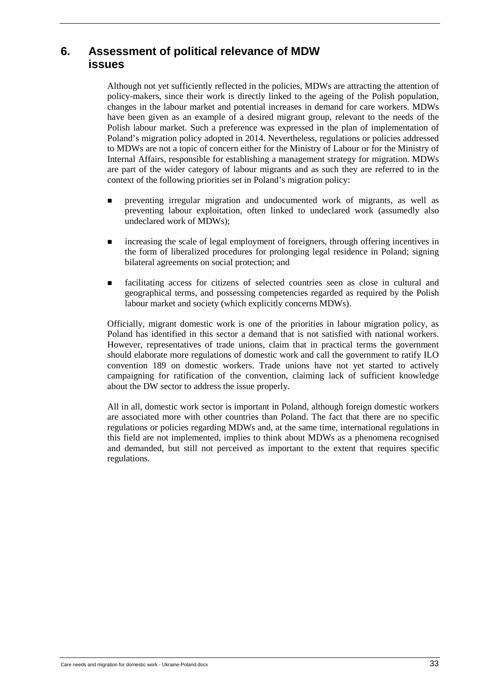## **6. Assessment of political relevance of MDW issues**

Although not yet sufficiently reflected in the policies, MDWs are attracting the attention of policy-makers, since their work is directly linked to the ageing of the Polish population, changes in the labour market and potential increases in demand for care workers. MDWs have been given as an example of a desired migrant group, relevant to the needs of the Polish labour market. Such a preference was expressed in the plan of implementation of Poland's migration policy adopted in 2014. Nevertheless, regulations or policies addressed to MDWs are not a topic of concern either for the Ministry of Labour or for the Ministry of Internal Affairs, responsible for establishing a management strategy for migration. MDWs are part of the wider category of labour migrants and as such they are referred to in the context of the following priorities set in Poland's migration policy:

- preventing irregular migration and undocumented work of migrants, as well as preventing labour exploitation, often linked to undeclared work (assumedly also undeclared work of MDWs);
- increasing the scale of legal employment of foreigners, through offering incentives in the form of liberalized procedures for prolonging legal residence in Poland; signing bilateral agreements on social protection; and
- facilitating access for citizens of selected countries seen as close in cultural and geographical terms, and possessing competencies regarded as required by the Polish labour market and society (which explicitly concerns MDWs).

Officially, migrant domestic work is one of the priorities in labour migration policy, as Poland has identified in this sector a demand that is not satisfied with national workers. However, representatives of trade unions, claim that in practical terms the government should elaborate more regulations of domestic work and call the government to ratify ILO convention 189 on domestic workers. Trade unions have not yet started to actively campaigning for ratification of the convention, claiming lack of sufficient knowledge about the DW sector to address the issue properly.

All in all, domestic work sector is important in Poland, although foreign domestic workers are associated more with other countries than Poland. The fact that there are no specific regulations or policies regarding MDWs and, at the same time, international regulations in this field are not implemented, implies to think about MDWs as a phenomena recognised and demanded, but still not perceived as important to the extent that requires specific regulations.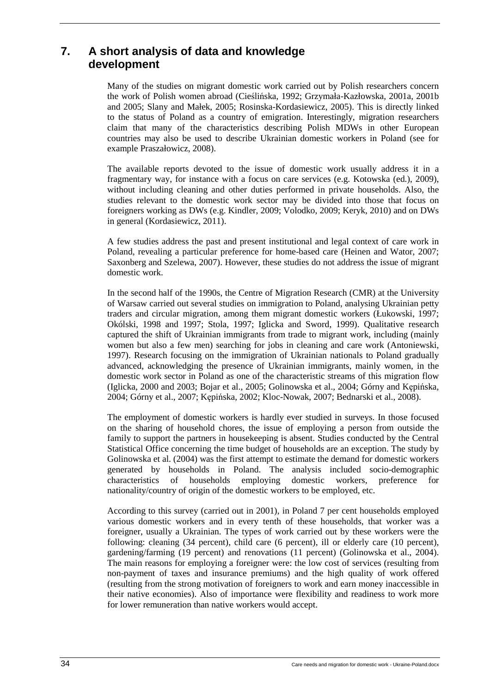## **7. A short analysis of data and knowledge development**

Many of the studies on migrant domestic work carried out by Polish researchers concern the work of Polish women abroad (Cieślińska, 1992; Grzymała-Kazłowska, 2001a, 2001b and 2005; Slany and Małek, 2005; Rosinska-Kordasiewicz, 2005). This is directly linked to the status of Poland as a country of emigration. Interestingly, migration researchers claim that many of the characteristics describing Polish MDWs in other European countries may also be used to describe Ukrainian domestic workers in Poland (see for example Praszałowicz, 2008).

The available reports devoted to the issue of domestic work usually address it in a fragmentary way, for instance with a focus on care services (e.g. Kotowska (ed.), 2009), without including cleaning and other duties performed in private households. Also, the studies relevant to the domestic work sector may be divided into those that focus on foreigners working as DWs (e.g. Kindler, 2009; Volodko, 2009; Keryk, 2010) and on DWs in general (Kordasiewicz, 2011).

A few studies address the past and present institutional and legal context of care work in Poland, revealing a particular preference for home-based care (Heinen and Wator, 2007; Saxonberg and Szelewa, 2007). However, these studies do not address the issue of migrant domestic work.

In the second half of the 1990s, the Centre of Migration Research (CMR) at the University of Warsaw carried out several studies on immigration to Poland, analysing Ukrainian petty traders and circular migration, among them migrant domestic workers (Łukowski, 1997; Okólski, 1998 and 1997; Stola, 1997; Iglicka and Sword, 1999). Qualitative research captured the shift of Ukrainian immigrants from trade to migrant work, including (mainly women but also a few men) searching for jobs in cleaning and care work (Antoniewski, 1997). Research focusing on the immigration of Ukrainian nationals to Poland gradually advanced, acknowledging the presence of Ukrainian immigrants, mainly women, in the domestic work sector in Poland as one of the characteristic streams of this migration flow (Iglicka, 2000 and 2003; Bojar et al., 2005; Golinowska et al., 2004; Górny and Kępińska, 2004; Górny et al., 2007; Kępińska, 2002; Kloc-Nowak, 2007; Bednarski et al., 2008).

The employment of domestic workers is hardly ever studied in surveys. In those focused on the sharing of household chores, the issue of employing a person from outside the family to support the partners in housekeeping is absent. Studies conducted by the Central Statistical Office concerning the time budget of households are an exception. The study by Golinowska et al. (2004) was the first attempt to estimate the demand for domestic workers generated by households in Poland. The analysis included socio-demographic characteristics of households employing domestic workers, preference for nationality/country of origin of the domestic workers to be employed, etc.

According to this survey (carried out in 2001), in Poland 7 per cent households employed various domestic workers and in every tenth of these households, that worker was a foreigner, usually a Ukrainian. The types of work carried out by these workers were the following: cleaning (34 percent), child care (6 percent), ill or elderly care (10 percent), gardening/farming (19 percent) and renovations (11 percent) (Golinowska et al., 2004). The main reasons for employing a foreigner were: the low cost of services (resulting from non-payment of taxes and insurance premiums) and the high quality of work offered (resulting from the strong motivation of foreigners to work and earn money inaccessible in their native economies). Also of importance were flexibility and readiness to work more for lower remuneration than native workers would accept.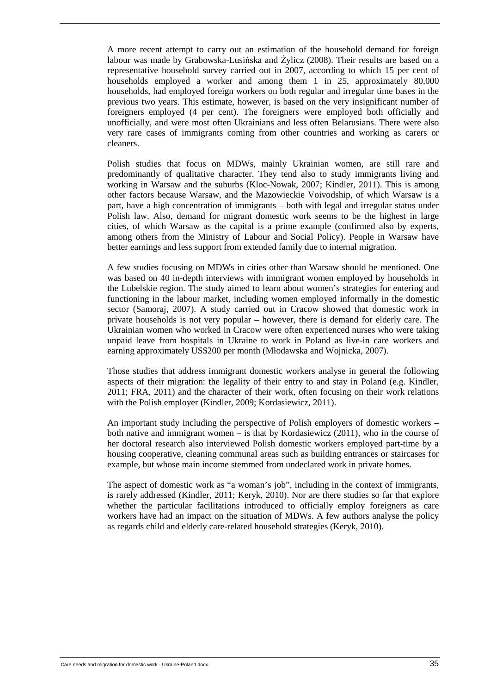A more recent attempt to carry out an estimation of the household demand for foreign labour was made by Grabowska-Lusińska and Żylicz (2008). Their results are based on a representative household survey carried out in 2007, according to which 15 per cent of households employed a worker and among them 1 in 25, approximately 80,000 households, had employed foreign workers on both regular and irregular time bases in the previous two years. This estimate, however, is based on the very insignificant number of foreigners employed (4 per cent). The foreigners were employed both officially and unofficially, and were most often Ukrainians and less often Belarusians. There were also very rare cases of immigrants coming from other countries and working as carers or cleaners.

Polish studies that focus on MDWs, mainly Ukrainian women, are still rare and predominantly of qualitative character. They tend also to study immigrants living and working in Warsaw and the suburbs (Kloc-Nowak, 2007; Kindler, 2011). This is among other factors because Warsaw, and the Mazowieckie Voivodship, of which Warsaw is a part, have a high concentration of immigrants – both with legal and irregular status under Polish law. Also, demand for migrant domestic work seems to be the highest in large cities, of which Warsaw as the capital is a prime example (confirmed also by experts, among others from the Ministry of Labour and Social Policy). People in Warsaw have better earnings and less support from extended family due to internal migration.

A few studies focusing on MDWs in cities other than Warsaw should be mentioned. One was based on 40 in-depth interviews with immigrant women employed by households in the Lubelskie region. The study aimed to learn about women's strategies for entering and functioning in the labour market, including women employed informally in the domestic sector (Samoraj, 2007). A study carried out in Cracow showed that domestic work in private households is not very popular – however, there is demand for elderly care. The Ukrainian women who worked in Cracow were often experienced nurses who were taking unpaid leave from hospitals in Ukraine to work in Poland as live-in care workers and earning approximately US\$200 per month (Młodawska and Wojnicka, 2007).

Those studies that address immigrant domestic workers analyse in general the following aspects of their migration: the legality of their entry to and stay in Poland (e.g. Kindler, 2011; FRA, 2011) and the character of their work, often focusing on their work relations with the Polish employer (Kindler, 2009; Kordasiewicz, 2011).

An important study including the perspective of Polish employers of domestic workers – both native and immigrant women – is that by Kordasiewicz (2011), who in the course of her doctoral research also interviewed Polish domestic workers employed part-time by a housing cooperative, cleaning communal areas such as building entrances or staircases for example, but whose main income stemmed from undeclared work in private homes.

The aspect of domestic work as "a woman's job", including in the context of immigrants, is rarely addressed (Kindler, 2011; Keryk, 2010). Nor are there studies so far that explore whether the particular facilitations introduced to officially employ foreigners as care workers have had an impact on the situation of MDWs. A few authors analyse the policy as regards child and elderly care-related household strategies (Keryk, 2010).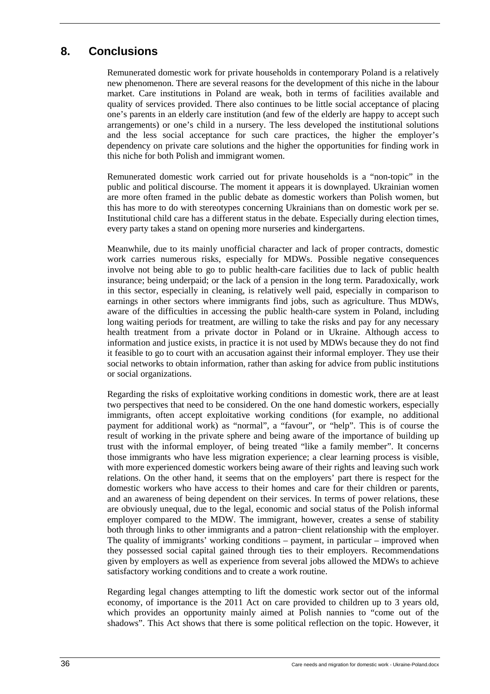## **8. Conclusions**

Remunerated domestic work for private households in contemporary Poland is a relatively new phenomenon. There are several reasons for the development of this niche in the labour market. Care institutions in Poland are weak, both in terms of facilities available and quality of services provided. There also continues to be little social acceptance of placing one's parents in an elderly care institution (and few of the elderly are happy to accept such arrangements) or one's child in a nursery. The less developed the institutional solutions and the less social acceptance for such care practices, the higher the employer's dependency on private care solutions and the higher the opportunities for finding work in this niche for both Polish and immigrant women.

Remunerated domestic work carried out for private households is a "non-topic" in the public and political discourse. The moment it appears it is downplayed. Ukrainian women are more often framed in the public debate as domestic workers than Polish women, but this has more to do with stereotypes concerning Ukrainians than on domestic work per se. Institutional child care has a different status in the debate. Especially during election times, every party takes a stand on opening more nurseries and kindergartens.

Meanwhile, due to its mainly unofficial character and lack of proper contracts, domestic work carries numerous risks, especially for MDWs. Possible negative consequences involve not being able to go to public health-care facilities due to lack of public health insurance; being underpaid; or the lack of a pension in the long term. Paradoxically, work in this sector, especially in cleaning, is relatively well paid, especially in comparison to earnings in other sectors where immigrants find jobs, such as agriculture. Thus MDWs, aware of the difficulties in accessing the public health-care system in Poland, including long waiting periods for treatment, are willing to take the risks and pay for any necessary health treatment from a private doctor in Poland or in Ukraine. Although access to information and justice exists, in practice it is not used by MDWs because they do not find it feasible to go to court with an accusation against their informal employer. They use their social networks to obtain information, rather than asking for advice from public institutions or social organizations.

Regarding the risks of exploitative working conditions in domestic work, there are at least two perspectives that need to be considered. On the one hand domestic workers, especially immigrants, often accept exploitative working conditions (for example, no additional payment for additional work) as "normal", a "favour", or "help". This is of course the result of working in the private sphere and being aware of the importance of building up trust with the informal employer, of being treated "like a family member". It concerns those immigrants who have less migration experience; a clear learning process is visible, with more experienced domestic workers being aware of their rights and leaving such work relations. On the other hand, it seems that on the employers' part there is respect for the domestic workers who have access to their homes and care for their children or parents, and an awareness of being dependent on their services. In terms of power relations, these are obviously unequal, due to the legal, economic and social status of the Polish informal employer compared to the MDW. The immigrant, however, creates a sense of stability both through links to other immigrants and a patron−client relationship with the employer. The quality of immigrants' working conditions – payment, in particular – improved when they possessed social capital gained through ties to their employers. Recommendations given by employers as well as experience from several jobs allowed the MDWs to achieve satisfactory working conditions and to create a work routine.

Regarding legal changes attempting to lift the domestic work sector out of the informal economy, of importance is the 2011 Act on care provided to children up to 3 years old, which provides an opportunity mainly aimed at Polish nannies to "come out of the shadows". This Act shows that there is some political reflection on the topic. However, it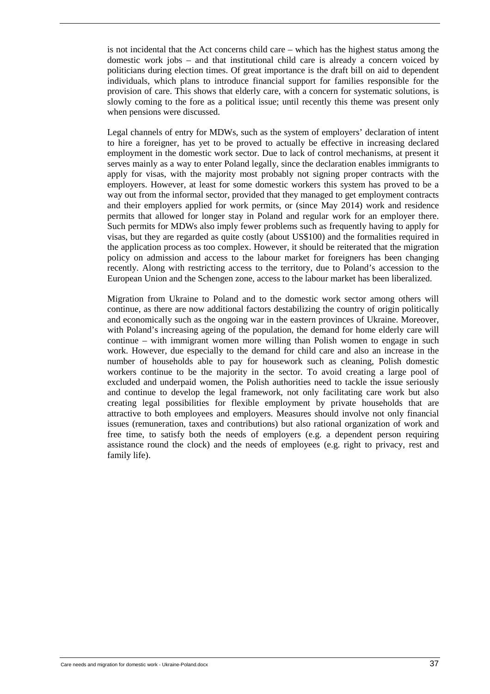is not incidental that the Act concerns child care – which has the highest status among the domestic work jobs – and that institutional child care is already a concern voiced by politicians during election times. Of great importance is the draft bill on aid to dependent individuals, which plans to introduce financial support for families responsible for the provision of care. This shows that elderly care, with a concern for systematic solutions, is slowly coming to the fore as a political issue; until recently this theme was present only when pensions were discussed.

Legal channels of entry for MDWs, such as the system of employers' declaration of intent to hire a foreigner, has yet to be proved to actually be effective in increasing declared employment in the domestic work sector. Due to lack of control mechanisms, at present it serves mainly as a way to enter Poland legally, since the declaration enables immigrants to apply for visas, with the majority most probably not signing proper contracts with the employers. However, at least for some domestic workers this system has proved to be a way out from the informal sector, provided that they managed to get employment contracts and their employers applied for work permits, or (since May 2014) work and residence permits that allowed for longer stay in Poland and regular work for an employer there. Such permits for MDWs also imply fewer problems such as frequently having to apply for visas, but they are regarded as quite costly (about US\$100) and the formalities required in the application process as too complex. However, it should be reiterated that the migration policy on admission and access to the labour market for foreigners has been changing recently. Along with restricting access to the territory, due to Poland's accession to the European Union and the Schengen zone, access to the labour market has been liberalized.

Migration from Ukraine to Poland and to the domestic work sector among others will continue, as there are now additional factors destabilizing the country of origin politically and economically such as the ongoing war in the eastern provinces of Ukraine. Moreover, with Poland's increasing ageing of the population, the demand for home elderly care will continue – with immigrant women more willing than Polish women to engage in such work. However, due especially to the demand for child care and also an increase in the number of households able to pay for housework such as cleaning, Polish domestic workers continue to be the majority in the sector. To avoid creating a large pool of excluded and underpaid women, the Polish authorities need to tackle the issue seriously and continue to develop the legal framework, not only facilitating care work but also creating legal possibilities for flexible employment by private households that are attractive to both employees and employers. Measures should involve not only financial issues (remuneration, taxes and contributions) but also rational organization of work and free time, to satisfy both the needs of employers (e.g. a dependent person requiring assistance round the clock) and the needs of employees (e.g. right to privacy, rest and family life).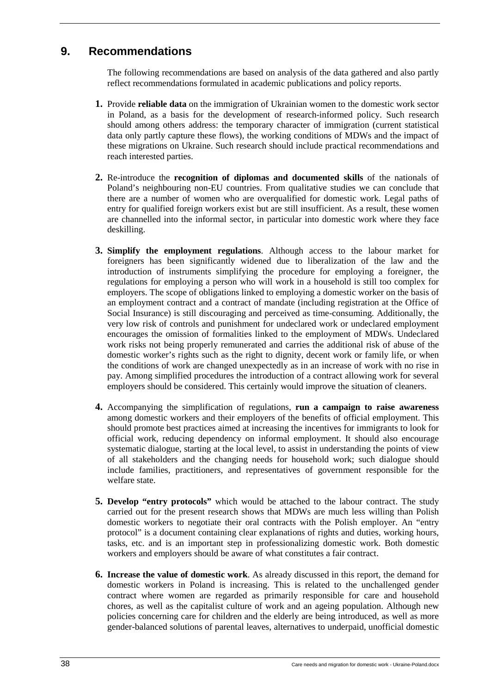## **9. Recommendations**

The following recommendations are based on analysis of the data gathered and also partly reflect recommendations formulated in academic publications and policy reports.

- **1.** Provide **reliable data** on the immigration of Ukrainian women to the domestic work sector in Poland, as a basis for the development of research-informed policy. Such research should among others address: the temporary character of immigration (current statistical data only partly capture these flows), the working conditions of MDWs and the impact of these migrations on Ukraine. Such research should include practical recommendations and reach interested parties.
- **2.** Re-introduce the **recognition of diplomas and documented skills** of the nationals of Poland's neighbouring non-EU countries. From qualitative studies we can conclude that there are a number of women who are overqualified for domestic work. Legal paths of entry for qualified foreign workers exist but are still insufficient. As a result, these women are channelled into the informal sector, in particular into domestic work where they face deskilling.
- **3. Simplify the employment regulations**. Although access to the labour market for foreigners has been significantly widened due to liberalization of the law and the introduction of instruments simplifying the procedure for employing a foreigner, the regulations for employing a person who will work in a household is still too complex for employers. The scope of obligations linked to employing a domestic worker on the basis of an employment contract and a contract of mandate (including registration at the Office of Social Insurance) is still discouraging and perceived as time-consuming. Additionally, the very low risk of controls and punishment for undeclared work or undeclared employment encourages the omission of formalities linked to the employment of MDWs. Undeclared work risks not being properly remunerated and carries the additional risk of abuse of the domestic worker's rights such as the right to dignity, decent work or family life, or when the conditions of work are changed unexpectedly as in an increase of work with no rise in pay. Among simplified procedures the introduction of a contract allowing work for several employers should be considered. This certainly would improve the situation of cleaners.
- **4.** Accompanying the simplification of regulations, **run a campaign to raise awareness** among domestic workers and their employers of the benefits of official employment. This should promote best practices aimed at increasing the incentives for immigrants to look for official work, reducing dependency on informal employment. It should also encourage systematic dialogue, starting at the local level, to assist in understanding the points of view of all stakeholders and the changing needs for household work; such dialogue should include families, practitioners, and representatives of government responsible for the welfare state.
- **5. Develop "entry protocols"** which would be attached to the labour contract. The study carried out for the present research shows that MDWs are much less willing than Polish domestic workers to negotiate their oral contracts with the Polish employer. An "entry protocol" is a document containing clear explanations of rights and duties, working hours, tasks, etc. and is an important step in professionalizing domestic work. Both domestic workers and employers should be aware of what constitutes a fair contract.
- **6. Increase the value of domestic work**. As already discussed in this report, the demand for domestic workers in Poland is increasing. This is related to the unchallenged gender contract where women are regarded as primarily responsible for care and household chores, as well as the capitalist culture of work and an ageing population. Although new policies concerning care for children and the elderly are being introduced, as well as more gender-balanced solutions of parental leaves, alternatives to underpaid, unofficial domestic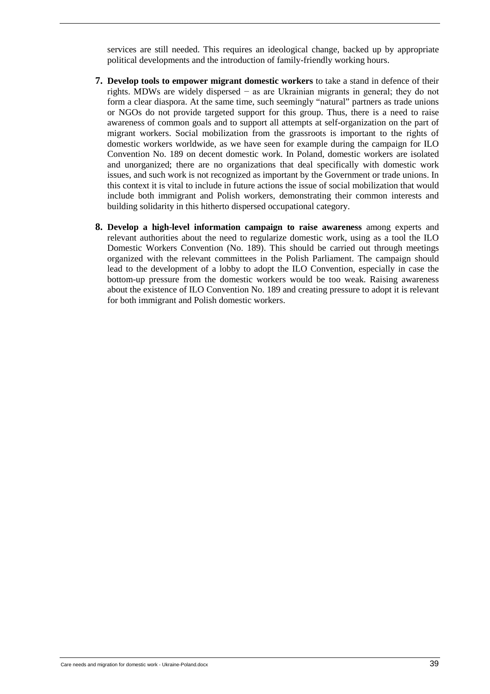services are still needed. This requires an ideological change, backed up by appropriate political developments and the introduction of family-friendly working hours.

- **7. Develop tools to empower migrant domestic workers** to take a stand in defence of their rights. MDWs are widely dispersed − as are Ukrainian migrants in general; they do not form a clear diaspora. At the same time, such seemingly "natural" partners as trade unions or NGOs do not provide targeted support for this group. Thus, there is a need to raise awareness of common goals and to support all attempts at self-organization on the part of migrant workers. Social mobilization from the grassroots is important to the rights of domestic workers worldwide, as we have seen for example during the campaign for ILO Convention No. 189 on decent domestic work. In Poland, domestic workers are isolated and unorganized; there are no organizations that deal specifically with domestic work issues, and such work is not recognized as important by the Government or trade unions. In this context it is vital to include in future actions the issue of social mobilization that would include both immigrant and Polish workers, demonstrating their common interests and building solidarity in this hitherto dispersed occupational category.
- **8. Develop a high-level information campaign to raise awareness** among experts and relevant authorities about the need to regularize domestic work, using as a tool the ILO Domestic Workers Convention (No. 189). This should be carried out through meetings organized with the relevant committees in the Polish Parliament. The campaign should lead to the development of a lobby to adopt the ILO Convention, especially in case the bottom-up pressure from the domestic workers would be too weak. Raising awareness about the existence of ILO Convention No. 189 and creating pressure to adopt it is relevant for both immigrant and Polish domestic workers.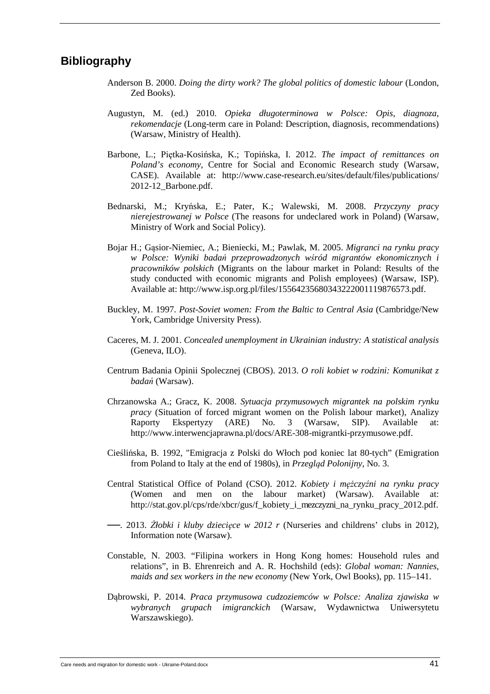### **Bibliography**

- Anderson B. 2000. *Doing the dirty work? The global politics of domestic labour* (London, Zed Books).
- Augustyn, M. (ed.) 2010. *Opieka długoterminowa w Polsce: Opis, diagnoza, rekomendacje* (Long-term care in Poland: Description, diagnosis, recommendations) (Warsaw, Ministry of Health).
- Barbone, L.; Piętka-Kosińska, K.; Topińska, I. 2012. *The impact of remittances on Poland's economy*, Centre for Social and Economic Research study (Warsaw, CASE). Available at: http://www.case-research.eu/sites/default/files/publications/ 2012-12\_Barbone.pdf.
- Bednarski, M.; Kryńska, E.; Pater, K.; Walewski, M. 2008. *Przyczyny pracy nierejestrowanej w Polsce* (The reasons for undeclared work in Poland) (Warsaw, Ministry of Work and Social Policy).
- Bojar H.; Gąsior-Niemiec, A.; Bieniecki, M.; Pawlak, M. 2005. *Migranci na rynku pracy w Polsce: Wyniki badań przeprowadzonych wśród migrantów ekonomicznych i pracowników polskich* (Migrants on the labour market in Poland: Results of the study conducted with economic migrants and Polish employees) (Warsaw, ISP). Available at: http://www.isp.org.pl/files/15564235680343222001119876573.pdf.
- Buckley, M. 1997. *Post-Soviet women: From the Baltic to Central Asia* (Cambridge/New York, Cambridge University Press).
- Caceres, M. J. 2001. *Concealed unemployment in Ukrainian industry: A statistical analysis* (Geneva, ILO).
- Centrum Badania Opinii Spolecznej (CBOS). 2013. *O roli kobiet w rodzini: Komunikat z badań* (Warsaw).
- Chrzanowska A.; Gracz, K. 2008. *Sytuacja przymusowych migrantek na polskim rynku pracy* (Situation of forced migrant women on the Polish labour market), Analizy Raporty Ekspertyzy (ARE) No. 3 (Warsaw, SIP). Available at: http://www.interwencjaprawna.pl/docs/ARE-308-migrantki-przymusowe.pdf.
- Cieślińska, B. 1992, "Emigracja z Polski do Włoch pod koniec lat 80-tych" (Emigration from Poland to Italy at the end of 1980s), in *Przegląd Polonijny*, No. 3.
- Central Statistical Office of Poland (CSO). 2012. *Kobiety i mężczyźni na rynku pracy* (Women and men on the labour market) (Warsaw). Available at: http://stat.gov.pl/cps/rde/xbcr/gus/f\_kobiety\_i\_mezczyzni\_na\_rynku\_pracy\_2012.pdf.
- ──. 2013. *Żłobki i kluby dziecięce w 2012 r* (Nurseries and childrens' clubs in 2012), Information note (Warsaw).
- Constable, N. 2003. "Filipina workers in Hong Kong homes: Household rules and relations", in B. Ehrenreich and A. R. Hochshild (eds): *Global woman: Nannies, maids and sex workers in the new economy* (New York, Owl Books), pp. 115–141.
- Dąbrowski, P. 2014. *Praca przymusowa cudzoziemców w Polsce: Analiza zjawiska w wybranych grupach imigranckich* (Warsaw, Wydawnictwa Uniwersytetu Warszawskiego).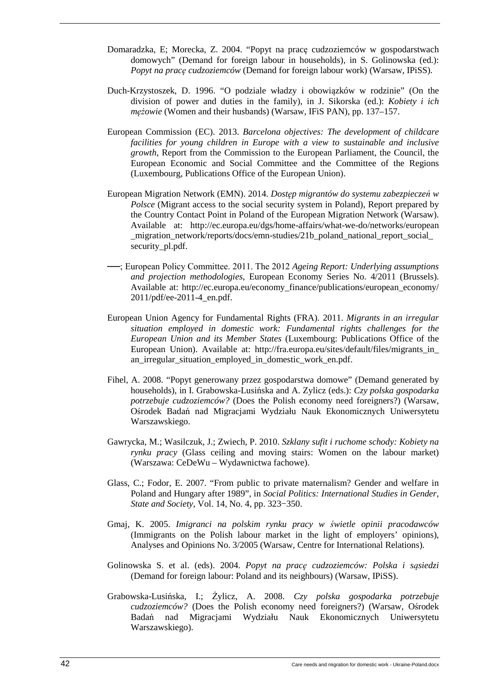- Domaradzka, E; Morecka, Z. 2004. "Popyt na pracę cudzoziemców w gospodarstwach domowych" (Demand for foreign labour in households), in S. Golinowska (ed.): *Popyt na pracę cudzoziemców* (Demand for foreign labour work) (Warsaw, IPiSS).
- Duch-Krzystoszek, D. 1996. "O podziale władzy i obowiązków w rodzinie" (On the division of power and duties in the family), in J. Sikorska (ed.): *Kobiety i ich mężowie* (Women and their husbands) (Warsaw, IFiS PAN), pp. 137–157.
- European Commission (EC). 2013. *Barcelona objectives: The development of childcare facilities for young children in Europe with a view to sustainable and inclusive growth*, Report from the Commission to the European Parliament, the Council, the European Economic and Social Committee and the Committee of the Regions (Luxembourg, Publications Office of the European Union).
- European Migration Network (EMN). 2014. *Dostęp migrantów do systemu zabezpieczeń w Polsce* (Migrant access to the social security system in Poland), Report prepared by the Country Contact Point in Poland of the European Migration Network (Warsaw). Available at: http://ec.europa.eu/dgs/home-affairs/what-we-do/networks/european \_migration\_network/reports/docs/emn-studies/21b\_poland\_national\_report\_social\_ security\_pl.pdf.
- ──; European Policy Committee. 2011. The 2012 *Ageing Report: Underlying assumptions and projection methodologies*, European Economy Series No. 4/2011 (Brussels). Available at: http://ec.europa.eu/economy\_finance/publications/european\_economy/ 2011/pdf/ee-2011-4\_en.pdf.
- European Union Agency for Fundamental Rights (FRA). 2011. *Migrants in an irregular situation employed in domestic work: Fundamental rights challenges for the European Union and its Member States* (Luxembourg: Publications Office of the European Union). Available at: http://fra.europa.eu/sites/default/files/migrants\_in\_ an irregular situation employed in domestic work en.pdf.
- Fihel, A. 2008. "Popyt generowany przez gospodarstwa domowe" (Demand generated by households), in I. Grabowska-Lusińska and A. Zylicz (eds.): *Czy polska gospodarka potrzebuje cudzoziemców?* (Does the Polish economy need foreigners?) (Warsaw, Ośrodek Badań nad Migracjami Wydziału Nauk Ekonomicznych Uniwersytetu Warszawskiego.
- Gawrycka, M.; Wasilczuk, J.; Zwiech, P. 2010. *Szklany sufit i ruchome schody: Kobiety na rynku pracy* (Glass ceiling and moving stairs: Women on the labour market) (Warszawa: CeDeWu – Wydawnictwa fachowe).
- Glass, C.; Fodor, E. 2007. "From public to private maternalism? Gender and welfare in Poland and Hungary after 1989", in *Social Politics: International Studies in Gender, State and Society*, Vol. 14, No. 4, pp. 323−350.
- Gmaj, K. 2005. *Imigranci na polskim rynku pracy w świetle opinii pracodawców* (Immigrants on the Polish labour market in the light of employers' opinions), Analyses and Opinions No. 3/2005 (Warsaw, Centre for International Relations).
- Golinowska S. et al. (eds). 2004. *Popyt na pracę cudzoziemców: Polska i sąsiedzi* (Demand for foreign labour: Poland and its neighbours) (Warsaw, IPiSS).
- Grabowska-Lusińska, I.; Żylicz, A. 2008. *Czy polska gospodarka potrzebuje cudzoziemców?* (Does the Polish economy need foreigners?) (Warsaw, Ośrodek Badań nad Migracjami Wydziału Nauk Ekonomicznych Uniwersytetu Warszawskiego).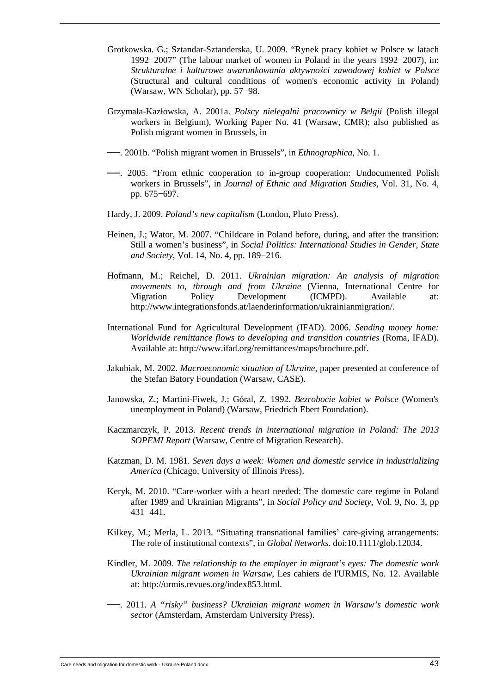- Grotkowska. G.; Sztandar-Sztanderska, U. 2009. "Rynek pracy kobiet w Polsce w latach 1992−2007" (The labour market of women in Poland in the years 1992−2007), in: *Strukturalne i kulturowe uwarunkowania aktywności zawodowej kobiet w Polsce* (Structural and cultural conditions of women's economic activity in Poland) (Warsaw, WN Scholar), pp. 57−98.
- Grzymała-Kazłowska, A. 2001a. *Polscy nielegalni pracownicy w Belgii* (Polish illegal workers in Belgium), Working Paper No. 41 (Warsaw, CMR); also published as Polish migrant women in Brussels, in
- ──. 2001b. "Polish migrant women in Brussels", in *Ethnographica*, No. 1.
- ──. 2005. "From ethnic cooperation to in-group cooperation: Undocumented Polish workers in Brussels", in *Journal of Ethnic and Migration Studies*, Vol. 31, No. 4, pp. 675−697.
- Hardy, J. 2009. *Poland's new capitalism* (London, Pluto Press).
- Heinen, J.; Wator, M. 2007. "Childcare in Poland before, during, and after the transition: Still a women's business", in *Social Politics: International Studies in Gender, State and Society*, Vol. 14, No. 4, pp. 189−216.
- Hofmann, M.; Reichel, D. 2011. *Ukrainian migration: An analysis of migration movements to, through and from Ukraine* (Vienna, International Centre for Migration Policy Development (ICMPD). Available at: http://www.integrationsfonds.at/laenderinformation/ukrainianmigration/.
- International Fund for Agricultural Development (IFAD). 2006. *Sending money home: Worldwide remittance flows to developing and transition countries* (Roma, IFAD). Available at: http://www.ifad.org/remittances/maps/brochure.pdf.
- Jakubiak, M. 2002. *Macroeconomic situation of Ukraine*, paper presented at conference of the Stefan Batory Foundation (Warsaw, CASE).
- Janowska, Z.; Martini-Fiwek, J.; Góral, Z. 1992. *Bezrobocie kobiet w Polsce* (Women's unemployment in Poland) (Warsaw, Friedrich Ebert Foundation).
- Kaczmarczyk, P. 2013. *Recent trends in international migration in Poland: The 2013 SOPEMI Report* (Warsaw, Centre of Migration Research).
- Katzman, D. M. 1981. *Seven days a week: Women and domestic service in industrializing America* (Chicago, University of Illinois Press).
- Keryk, M. 2010. "Care-worker with a heart needed: The domestic care regime in Poland after 1989 and Ukrainian Migrants", in *Social Policy and Society*, Vol. 9, No. 3, pp 431−441.
- Kilkey, M.; Merla, L. 2013. "Situating transnational families' care-giving arrangements: The role of institutional contexts", in *Global Networks*. doi:10.1111/glob.12034.
- Kindler, M. 2009. *The relationship to the employer in migrant's eyes: The domestic work Ukrainian migrant women in Warsaw*, Les cahiers de l'URMIS, No. 12. Available at: http://urmis.revues.org/index853.html.
- ──. 2011. *A "risky" business? Ukrainian migrant women in Warsaw's domestic work sector* (Amsterdam, Amsterdam University Press).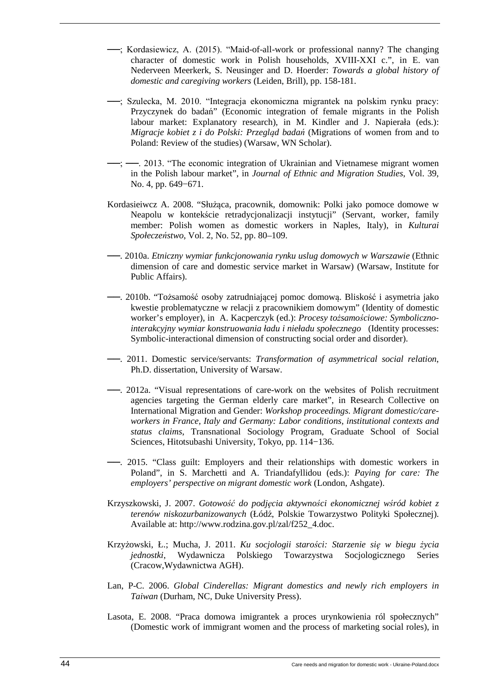- ──; Kordasiewicz, A. (2015). "Maid-of-all-work or professional nanny? The changing character of domestic work in Polish households, XVIII-XXI c.", in E. van Nederveen Meerkerk, S. Neusinger and D. Hoerder: *Towards a global history of domestic and caregiving workers* (Leiden, Brill), pp. 158-181.
- ──; Szulecka, M. 2010. "Integracja ekonomiczna migrantek na polskim rynku pracy: Przyczynek do badań" (Economic integration of female migrants in the Polish labour market: Explanatory research), in M. Kindler and J. Napierała (eds.): *Migracje kobiet z i do Polski: Przegląd badań* (Migrations of women from and to Poland: Review of the studies) (Warsaw, WN Scholar).
- ──; ──. 2013. "The economic integration of Ukrainian and Vietnamese migrant women in the Polish labour market", in *Journal of Ethnic and Migration Studies*, Vol. 39, No. 4, pp. 649–671.
- Kordasieiwcz A. 2008. "Służąca, pracownik, domownik: Polki jako pomoce domowe w Neapolu w kontekście retradycjonalizacji instytucji" (Servant, worker, family member: Polish women as domestic workers in Naples, Italy), in *Kulturai Społeczeństwo*, Vol. 2, No. 52, pp. 80–109.
- ──. 2010a. *Etniczny wymiar funkcjonowania rynku uslug domowych w Warszawie* (Ethnic dimension of care and domestic service market in Warsaw) (Warsaw, Institute for Public Affairs).
- ──. 2010b. "Tożsamość osoby zatrudniającej pomoc domową. Bliskość i asymetria jako kwestie problematyczne w relacji z pracownikiem domowym" (Identity of domestic worker's employer), in A. Kacperczyk (ed.): *Procesy tożsamościowe: Symbolicznointerakcyjny wymiar konstruowania ładu i nieładu społecznego* (Identity processes: Symbolic-interactional dimension of constructing social order and disorder).
- ──. 2011. Domestic service/servants: *Transformation of asymmetrical social relation*, Ph.D. dissertation, University of Warsaw.
- ──. 2012a. "Visual representations of care-work on the websites of Polish recruitment agencies targeting the German elderly care market", in Research Collective on International Migration and Gender: *Workshop proceedings. Migrant domestic/careworkers in France, Italy and Germany: Labor conditions, institutional contexts and status claims*, Transnational Sociology Program, Graduate School of Social Sciences, Hitotsubashi University, Tokyo, pp. 114−136.
- ──. 2015. "Class guilt: Employers and their relationships with domestic workers in Poland", in S. Marchetti and A. Triandafyllidou (eds.): *Paying for care: The employers' perspective on migrant domestic work* (London, Ashgate).
- Krzyszkowski, J. 2007. *Gotowość do podjęcia aktywności ekonomicznej wśród kobiet z terenów niskozurbanizowanych* (Łódź, Polskie Towarzystwo Polityki Społecznej). Available at: http://www.rodzina.gov.pl/zal/f252\_4.doc.
- Krzyżowski, Ł.; Mucha, J. 2011. *Ku socjologii starości: Starzenie się w biegu życia jednostki*, Wydawnicza Polskiego Towarzystwa Socjologicznego Series (Cracow,Wydawnictwa AGH).
- Lan, P-C. 2006. *Global Cinderellas: Migrant domestics and newly rich employers in Taiwan* (Durham, NC, Duke University Press).
- Lasota, E. 2008. "Praca domowa imigrantek a proces urynkowienia ról społecznych" (Domestic work of immigrant women and the process of marketing social roles), in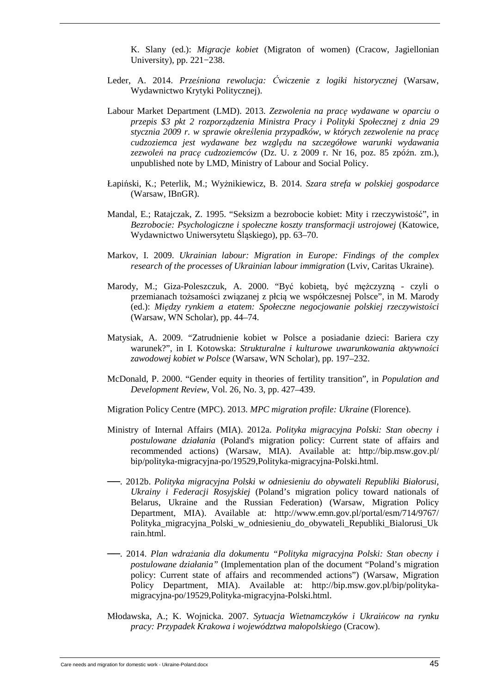K. Slany (ed.): *Migracje kobiet* (Migraton of women) (Cracow, Jagiellonian University), pp. 221−238.

- Leder, A. 2014. *Prześniona rewolucja: Ćwiczenie z logiki historycznej* (Warsaw, Wydawnictwo Krytyki Politycznej).
- Labour Market Department (LMD). 2013. *Zezwolenia na pracę wydawane w oparciu o przepis \$3 pkt 2 rozporządzenia Ministra Pracy i Polityki Społecznej z dnia 29 stycznia 2009 r. w sprawie określenia przypadków, w których zezwolenie na pracę cudzoziemca jest wydawane bez względu na szczegółowe warunki wydawania zezwoleń na pracę cudzoziemców* (Dz. U. z 2009 r. Nr 16, poz. 85 zpóźn. zm.), unpublished note by LMD, Ministry of Labour and Social Policy.
- Łapiński, K.; Peterlik, M.; Wyżnikiewicz, B. 2014. *Szara strefa w polskiej gospodarce* (Warsaw, IBnGR).
- Mandal, E.; Ratajczak, Z. 1995. "Seksizm a bezrobocie kobiet: Mity i rzeczywistość", in *Bezrobocie: Psychologiczne i społeczne koszty transformacji ustrojowej* (Katowice, Wydawnictwo Uniwersytetu Śląskiego), pp. 63–70.
- Markov, I. 2009. *Ukrainian labour: Migration in Europe: Findings of the complex research of the processes of Ukrainian labour immigration* (Lviv, Caritas Ukraine).
- Marody, M.; Giza-Poleszczuk, A. 2000. "Być kobietą, być mężczyzną czyli o przemianach tożsamości związanej z płcią we współczesnej Polsce", in M. Marody (ed.): *Między rynkiem a etatem: Społeczne negocjowanie polskiej rzeczywistości* (Warsaw, WN Scholar), pp. 44–74.
- Matysiak, A. 2009. "Zatrudnienie kobiet w Polsce a posiadanie dzieci: Bariera czy warunek?", in I. Kotowska: *Strukturalne i kulturowe uwarunkowania aktywności zawodowej kobiet w Polsce* (Warsaw, WN Scholar), pp. 197–232.
- McDonald, P. 2000. "Gender equity in theories of fertility transition", in *Population and Development Review*, Vol. 26, No. 3, pp. 427–439.

Migration Policy Centre (MPC). 2013. *MPC migration profile: Ukraine* (Florence).

- Ministry of Internal Affairs (MIA). 2012a. *Polityka migracyjna Polski: Stan obecny i postulowane działania* (Poland's migration policy: Current state of affairs and recommended actions) (Warsaw, MIA). Available at: http://bip.msw.gov.pl/ bip/polityka-migracyjna-po/19529,Polityka-migracyjna-Polski.html.
- ──. 2012b. *Polityka migracyjna Polski w odniesieniu do obywateli Republiki Białorusi, Ukrainy i Federacji Rosyjskiej* (Poland's migration policy toward nationals of Belarus, Ukraine and the Russian Federation) (Warsaw, Migration Policy Department, MIA). Available at: http://www.emn.gov.pl/portal/esm/714/9767/ Polityka\_migracyjna\_Polski\_w\_odniesieniu\_do\_obywateli\_Republiki\_Bialorusi\_Uk rain.html.
- ──. 2014. *Plan wdrażania dla dokumentu "Polityka migracyjna Polski: Stan obecny i postulowane działania"* (Implementation plan of the document "Poland's migration policy: Current state of affairs and recommended actions") (Warsaw, Migration Policy Department, MIA). Available at: http://bip.msw.gov.pl/bip/politykamigracyjna-po/19529,Polityka-migracyjna-Polski.html.
- Młodawska, A.; K. Wojnicka. 2007. *Sytuacja Wietnamczyków i Ukraińcow na rynku pracy: Przypadek Krakowa i województwa małopolskiego* (Cracow).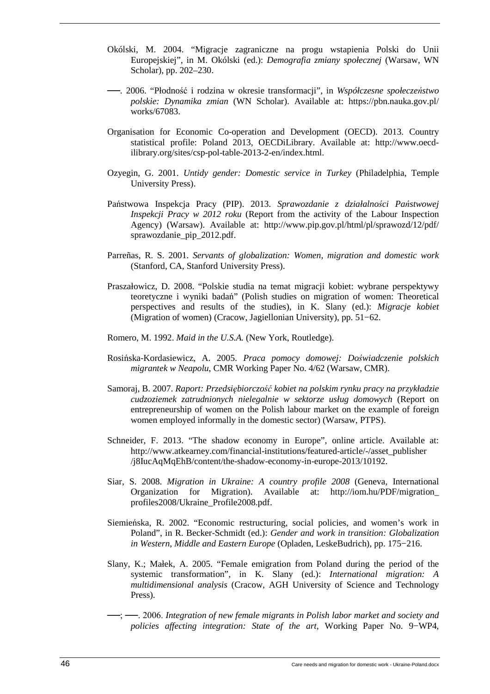- Okólski, M. 2004. "Migracje zagraniczne na progu wstapienia Polski do Unii Europejskiej", in M. Okólski (ed.): *Demografia zmiany społecznej* (Warsaw, WN Scholar), pp. 202–230.
- ──. 2006. "Płodność i rodzina w okresie transformacji", in *Współczesne społeczeństwo polskie: Dynamika zmian* (WN Scholar). Available at: https://pbn.nauka.gov.pl/ works/67083.
- Organisation for Economic Co-operation and Development (OECD). 2013. Country statistical profile: Poland 2013, OECDiLibrary. Available at: http://www.oecdilibrary.org/sites/csp-pol-table-2013-2-en/index.html.
- Ozyegin, G. 2001. *Untidy gender: Domestic service in Turkey* (Philadelphia, Temple University Press).
- Państwowa Inspekcja Pracy (PIP). 2013. *Sprawozdanie z działalności Państwowej Inspekcji Pracy w 2012 roku* (Report from the activity of the Labour Inspection Agency) (Warsaw). Available at: http://www.pip.gov.pl/html/pl/sprawozd/12/pdf/ sprawozdanie\_pip\_2012.pdf.
- Parreñas, R. S. 2001. *Servants of globalization: Women, migration and domestic work* (Stanford, CA, Stanford University Press).
- Praszałowicz, D. 2008. "Polskie studia na temat migracji kobiet: wybrane perspektywy teoretyczne i wyniki badań" (Polish studies on migration of women: Theoretical perspectives and results of the studies), in K. Slany (ed.): *Migracje kobiet* (Migration of women) (Cracow, Jagiellonian University), pp. 51−62.
- Romero, M. 1992. *Maid in the U.S.A.* (New York, Routledge).
- Rosińska-Kordasiewicz, A. 2005. *Praca pomocy domowej: Doświadczenie polskich migrantek w Neapolu*, CMR Working Paper No. 4/62 (Warsaw, CMR).
- Samoraj, B. 2007. *Raport: Przedsiębiorczość kobiet na polskim rynku pracy na przykładzie cudzoziemek zatrudnionych nielegalnie w sektorze usług domowych* (Report on entrepreneurship of women on the Polish labour market on the example of foreign women employed informally in the domestic sector) (Warsaw, PTPS).
- Schneider, F. 2013. "The shadow economy in Europe", online article. Available at: http://www.atkearney.com/financial-institutions/featured-article/-/asset\_publisher /j8IucAqMqEhB/content/the-shadow-economy-in-europe-2013/10192.
- Siar, S. 2008. *Migration in Ukraine: A country profile 2008* (Geneva, International Organization for Migration). Available at: http://iom.hu/PDF/migration\_ profiles2008/Ukraine\_Profile2008.pdf.
- Siemieńska, R. 2002. "Economic restructuring, social policies, and women's work in Poland", in R. Becker-Schmidt (ed.): *Gender and work in transition: Globalization in Western, Middle and Eastern Europe* (Opladen, LeskeBudrich), pp. 175−216.
- Slany, K.; Małek, A. 2005. "Female emigration from Poland during the period of the systemic transformation", in K. Slany (ed.): *International migration: A multidimensional analysis* (Cracow, AGH University of Science and Technology Press).
- ──; ──. 2006. *Integration of new female migrants in Polish labor market and society and policies affecting integration: State of the art*, Working Paper No. 9−WP4,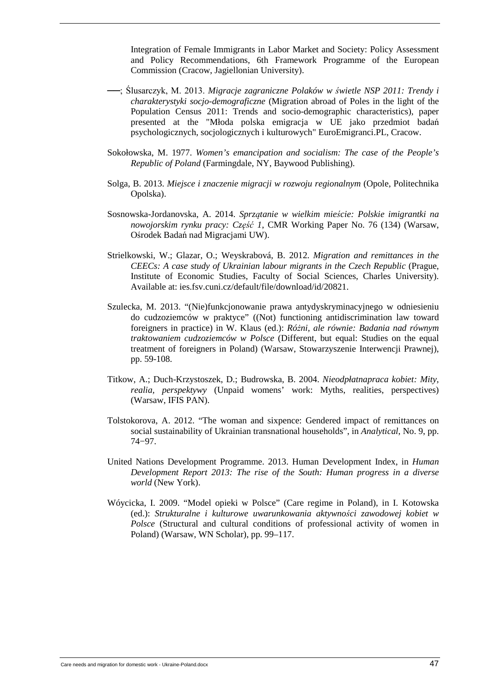Integration of Female Immigrants in Labor Market and Society: Policy Assessment and Policy Recommendations, 6th Framework Programme of the European Commission (Cracow, Jagiellonian University).

- ──; Ślusarczyk, M. 2013. *Migracje zagraniczne Polaków w świetle NSP 2011: Trendy i charakterystyki socjo-demograficzne* (Migration abroad of Poles in the light of the Population Census 2011: Trends and socio-demographic characteristics), paper presented at the "Młoda polska emigracja w UE jako przedmiot badań psychologicznych, socjologicznych i kulturowych" EuroEmigranci.PL, Cracow.
- Sokołowska, M. 1977. *Women's emancipation and socialism: The case of the People's Republic of Poland* (Farmingdale, NY, Baywood Publishing).
- Solga, B. 2013. *Miejsce i znaczenie migracji w rozwoju regionalnym* (Opole, Politechnika Opolska).
- Sosnowska-Jordanovska, A. 2014. *Sprzątanie w wielkim mieście: Polskie imigrantki na nowojorskim rynku pracy: Część 1*, CMR Working Paper No. 76 (134) (Warsaw, Ośrodek Badań nad Migracjami UW).
- Strielkowski, W.; Glazar, O.; Weyskrabová, B. 2012. *Migration and remittances in the CEECs: A case study of Ukrainian labour migrants in the Czech Republic* (Prague, Institute of Economic Studies, Faculty of Social Sciences, Charles University). Available at: ies.fsv.cuni.cz/default/file/download/id/20821.
- Szulecka, M. 2013. "(Nie)funkcjonowanie prawa antydyskryminacyjnego w odniesieniu do cudzoziemców w praktyce" ((Not) functioning antidiscrimination law toward foreigners in practice) in W. Klaus (ed.): *Różni, ale równie: Badania nad równym traktowaniem cudzoziemców w Polsce* (Different, but equal: Studies on the equal treatment of foreigners in Poland) (Warsaw, Stowarzyszenie Interwencji Prawnej), pp. 59-108.
- Titkow, A.; Duch-Krzystoszek, D.; Budrowska, B. 2004. *Nieodpłatnapraca kobiet: Mity, realia, perspektywy* (Unpaid womens' work: Myths, realities, perspectives) (Warsaw, IFIS PAN).
- Tolstokorova, A. 2012. "The woman and sixpence: Gendered impact of remittances on social sustainability of Ukrainian transnational households", in *Analytical*, No. 9, pp. 74−97.
- United Nations Development Programme. 2013. Human Development Index, in *Human Development Report 2013: The rise of the South: Human progress in a diverse world* (New York).
- Wóycicka, I. 2009. "Model opieki w Polsce" (Care regime in Poland), in I. Kotowska (ed.): *Strukturalne i kulturowe uwarunkowania aktywności zawodowej kobiet w Polsce* (Structural and cultural conditions of professional activity of women in Poland) (Warsaw, WN Scholar), pp. 99–117.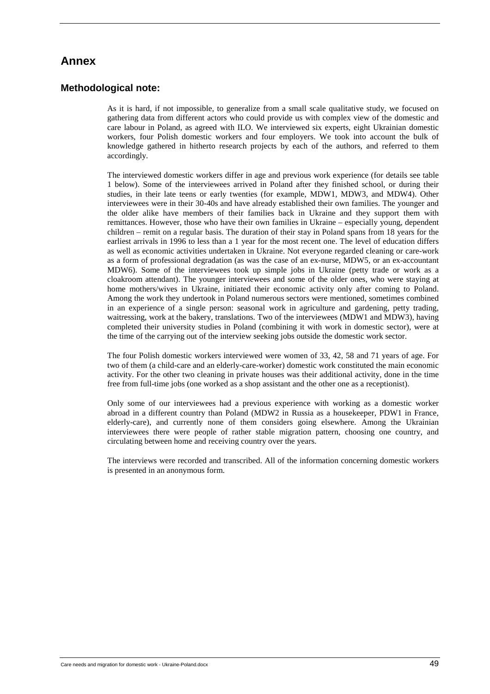## **Annex**

#### **Methodological note:**

As it is hard, if not impossible, to generalize from a small scale qualitative study, we focused on gathering data from different actors who could provide us with complex view of the domestic and care labour in Poland, as agreed with ILO. We interviewed six experts, eight Ukrainian domestic workers, four Polish domestic workers and four employers. We took into account the bulk of knowledge gathered in hitherto research projects by each of the authors, and referred to them accordingly.

The interviewed domestic workers differ in age and previous work experience (for details see table 1 below). Some of the interviewees arrived in Poland after they finished school, or during their studies, in their late teens or early twenties (for example, MDW1, MDW3, and MDW4). Other interviewees were in their 30-40s and have already established their own families. The younger and the older alike have members of their families back in Ukraine and they support them with remittances. However, those who have their own families in Ukraine – especially young, dependent children – remit on a regular basis. The duration of their stay in Poland spans from 18 years for the earliest arrivals in 1996 to less than a 1 year for the most recent one. The level of education differs as well as economic activities undertaken in Ukraine. Not everyone regarded cleaning or care-work as a form of professional degradation (as was the case of an ex-nurse, MDW5, or an ex-accountant MDW6). Some of the interviewees took up simple jobs in Ukraine (petty trade or work as a cloakroom attendant). The younger interviewees and some of the older ones, who were staying at home mothers/wives in Ukraine, initiated their economic activity only after coming to Poland. Among the work they undertook in Poland numerous sectors were mentioned, sometimes combined in an experience of a single person: seasonal work in agriculture and gardening, petty trading, waitressing, work at the bakery, translations. Two of the interviewees (MDW1 and MDW3), having completed their university studies in Poland (combining it with work in domestic sector), were at the time of the carrying out of the interview seeking jobs outside the domestic work sector.

The four Polish domestic workers interviewed were women of 33, 42, 58 and 71 years of age. For two of them (a child-care and an elderly-care-worker) domestic work constituted the main economic activity. For the other two cleaning in private houses was their additional activity, done in the time free from full-time jobs (one worked as a shop assistant and the other one as a receptionist).

Only some of our interviewees had a previous experience with working as a domestic worker abroad in a different country than Poland (MDW2 in Russia as a housekeeper, PDW1 in France, elderly-care), and currently none of them considers going elsewhere. Among the Ukrainian interviewees there were people of rather stable migration pattern, choosing one country, and circulating between home and receiving country over the years.

The interviews were recorded and transcribed. All of the information concerning domestic workers is presented in an anonymous form.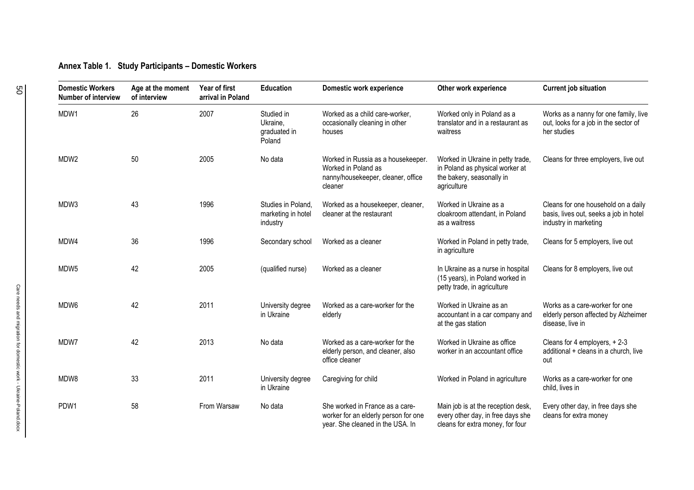#### **Annex Table 1. Study Participants – Domestic Workers**

| <b>Domestic Workers</b><br>Number of interview | Age at the moment<br>of interview | Year of first<br>arrival in Poland | <b>Education</b>                                     | <b>Domestic work experience</b>                                                                             | Other work experience                                                                                            | <b>Current job situation</b>                                                                           |
|------------------------------------------------|-----------------------------------|------------------------------------|------------------------------------------------------|-------------------------------------------------------------------------------------------------------------|------------------------------------------------------------------------------------------------------------------|--------------------------------------------------------------------------------------------------------|
| MDW1                                           | 26                                | 2007                               | Studied in<br>Ukraine,<br>graduated in<br>Poland     | Worked as a child care-worker,<br>occasionally cleaning in other<br>houses                                  | Worked only in Poland as a<br>translator and in a restaurant as<br>waitress                                      | Works as a nanny for one family, live<br>out, looks for a job in the sector of<br>her studies          |
| MDW2                                           | 50                                | 2005                               | No data                                              | Worked in Russia as a housekeeper.<br>Worked in Poland as<br>nanny/housekeeper, cleaner, office<br>cleaner  | Worked in Ukraine in petty trade,<br>in Poland as physical worker at<br>the bakery, seasonally in<br>agriculture | Cleans for three employers, live out                                                                   |
| MDW3                                           | 43                                | 1996                               | Studies in Poland,<br>marketing in hotel<br>industry | Worked as a housekeeper, cleaner,<br>cleaner at the restaurant                                              | Worked in Ukraine as a<br>cloakroom attendant, in Poland<br>as a waitress                                        | Cleans for one household on a daily<br>basis, lives out, seeks a job in hotel<br>industry in marketing |
| MDW4                                           | 36                                | 1996                               | Secondary school                                     | Worked as a cleaner                                                                                         | Worked in Poland in petty trade,<br>in agriculture                                                               | Cleans for 5 employers, live out                                                                       |
| MDW <sub>5</sub>                               | 42                                | 2005                               | (qualified nurse)                                    | Worked as a cleaner                                                                                         | In Ukraine as a nurse in hospital<br>(15 years), in Poland worked in<br>petty trade, in agriculture              | Cleans for 8 employers, live out                                                                       |
| MDW6                                           | 42                                | 2011                               | University degree<br>in Ukraine                      | Worked as a care-worker for the<br>elderly                                                                  | Worked in Ukraine as an<br>accountant in a car company and<br>at the gas station                                 | Works as a care-worker for one<br>elderly person affected by Alzheimer<br>disease, live in             |
| MDW7                                           | 42                                | 2013                               | No data                                              | Worked as a care-worker for the<br>elderly person, and cleaner, also<br>office cleaner                      | Worked in Ukraine as office<br>worker in an accountant office                                                    | Cleans for 4 employers, + 2-3<br>additional + cleans in a church, live<br>out                          |
| MDW8                                           | 33                                | 2011                               | University degree<br>in Ukraine                      | Caregiving for child                                                                                        | Worked in Poland in agriculture                                                                                  | Works as a care-worker for one<br>child, lives in                                                      |
| PDW1                                           | 58                                | From Warsaw                        | No data                                              | She worked in France as a care-<br>worker for an elderly person for one<br>year. She cleaned in the USA. In | Main job is at the reception desk,<br>every other day, in free days she<br>cleans for extra money, for four      | Every other day, in free days she<br>cleans for extra money                                            |

09 50